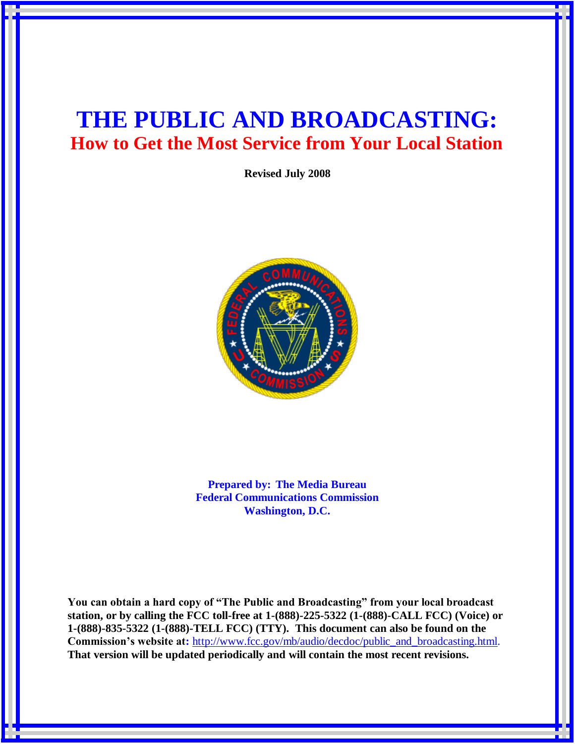# **THE PUBLIC AND BROADCASTING: How to Get the Most Service from Your Local Station**

**Revised July 2008**



**Prepared by: The Media Bureau Federal Communications Commission Washington, D.C.**

**You can obtain a hard copy of "The Public and Broadcasting" from your local broadcast station, or by calling the FCC toll-free at 1-(888)-225-5322 (1-(888)-CALL FCC) (Voice) or 1-(888)-835-5322 (1-(888)-TELL FCC) (TTY). This document can also be found on the Commission's website at:** [http://www.fcc.gov/mb/audio/decdoc/public\\_and\\_broadcasting.html.](http://www.fcc.gov/mb/audio/decdoc/public_and_broadcasting.html) **That version will be updated periodically and will contain the most recent revisions.**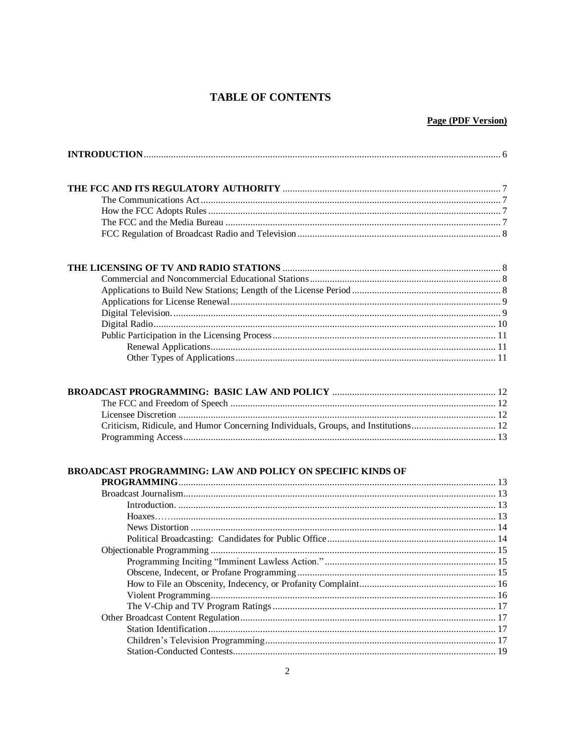# **TABLE OF CONTENTS**

# **Page (PDF Version)**

#### **BROADCAST PROGRAMMING: LAW AND POLICY ON SPECIFIC KINDS OF PROCPAMMING**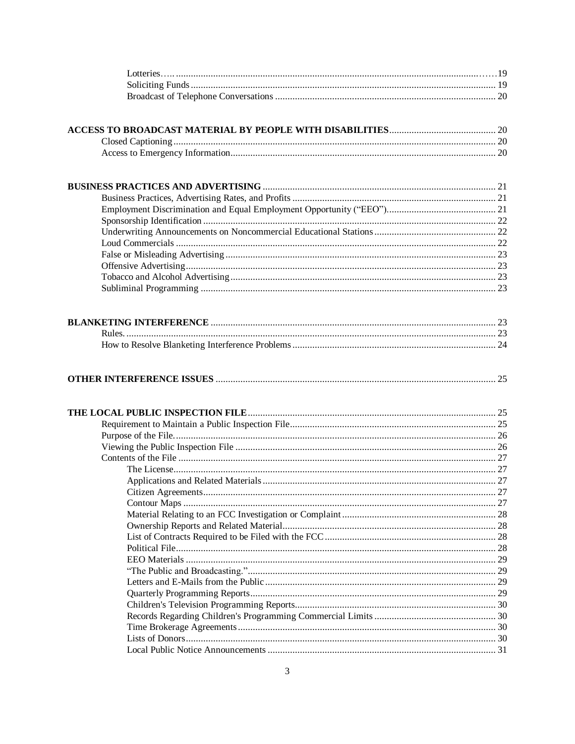|  | . 27 |
|--|------|
|  |      |
|  |      |
|  |      |
|  |      |
|  |      |
|  |      |
|  |      |
|  |      |
|  |      |
|  |      |
|  |      |
|  |      |
|  |      |
|  |      |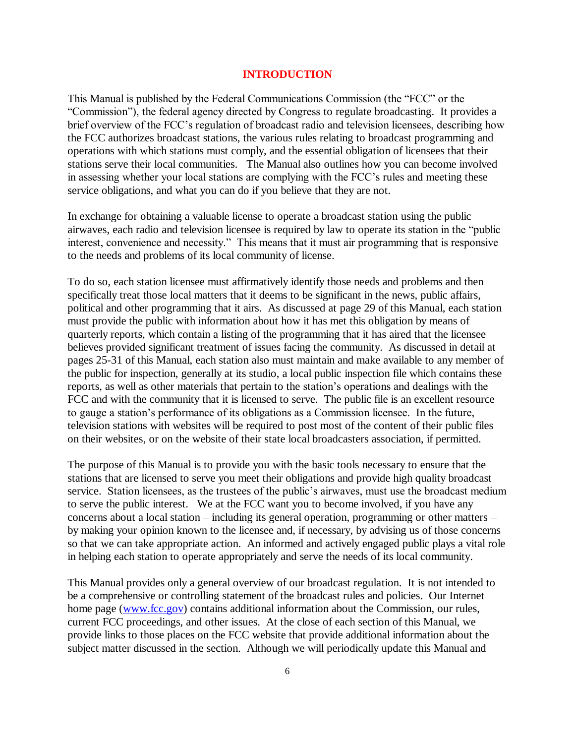#### **INTRODUCTION**

This Manual is published by the Federal Communications Commission (the "FCC" or the "Commission"), the federal agency directed by Congress to regulate broadcasting. It provides a brief overview of the FCC's regulation of broadcast radio and television licensees, describing how the FCC authorizes broadcast stations, the various rules relating to broadcast programming and operations with which stations must comply, and the essential obligation of licensees that their stations serve their local communities. The Manual also outlines how you can become involved in assessing whether your local stations are complying with the FCC's rules and meeting these service obligations, and what you can do if you believe that they are not.

In exchange for obtaining a valuable license to operate a broadcast station using the public airwaves, each radio and television licensee is required by law to operate its station in the "public interest, convenience and necessity." This means that it must air programming that is responsive to the needs and problems of its local community of license.

To do so, each station licensee must affirmatively identify those needs and problems and then specifically treat those local matters that it deems to be significant in the news, public affairs, political and other programming that it airs. As discussed at page 29 of this Manual, each station must provide the public with information about how it has met this obligation by means of quarterly reports, which contain a listing of the programming that it has aired that the licensee believes provided significant treatment of issues facing the community. As discussed in detail at pages 25-31 of this Manual, each station also must maintain and make available to any member of the public for inspection, generally at its studio, a local public inspection file which contains these reports, as well as other materials that pertain to the station's operations and dealings with the FCC and with the community that it is licensed to serve. The public file is an excellent resource to gauge a station's performance of its obligations as a Commission licensee. In the future, television stations with websites will be required to post most of the content of their public files on their websites, or on the website of their state local broadcasters association, if permitted.

The purpose of this Manual is to provide you with the basic tools necessary to ensure that the stations that are licensed to serve you meet their obligations and provide high quality broadcast service. Station licensees, as the trustees of the public's airwaves, must use the broadcast medium to serve the public interest. We at the FCC want you to become involved, if you have any concerns about a local station – including its general operation, programming or other matters – by making your opinion known to the licensee and, if necessary, by advising us of those concerns so that we can take appropriate action. An informed and actively engaged public plays a vital role in helping each station to operate appropriately and serve the needs of its local community.

This Manual provides only a general overview of our broadcast regulation. It is not intended to be a comprehensive or controlling statement of the broadcast rules and policies. Our Internet home page [\(www.fcc.gov\)](http://www.fcc.gov/) contains additional information about the Commission, our rules, current FCC proceedings, and other issues. At the close of each section of this Manual, we provide links to those places on the FCC website that provide additional information about the subject matter discussed in the section. Although we will periodically update this Manual and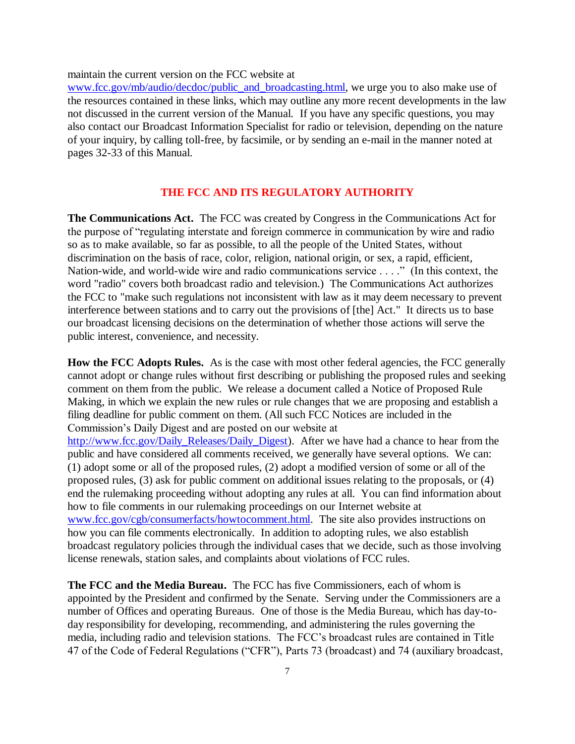maintain the current version on the FCC website at

[www.fcc.gov/mb/audio/decdoc/public\\_and\\_broadcasting.html,](http://www.fcc.gov/mb/audio/decdoc/public_and_broadcasting.html) we urge you to also make use of the resources contained in these links, which may outline any more recent developments in the law not discussed in the current version of the Manual. If you have any specific questions, you may also contact our Broadcast Information Specialist for radio or television, depending on the nature of your inquiry, by calling toll-free, by facsimile, or by sending an e-mail in the manner noted at pages 32-33 of this Manual.

## **THE FCC AND ITS REGULATORY AUTHORITY**

**The Communications Act.** The FCC was created by Congress in the Communications Act for the purpose of "regulating interstate and foreign commerce in communication by wire and radio so as to make available, so far as possible, to all the people of the United States, without discrimination on the basis of race, color, religion, national origin, or sex, a rapid, efficient, Nation-wide, and world-wide wire and radio communications service . . . ." (In this context, the word "radio" covers both broadcast radio and television.) The Communications Act authorizes the FCC to "make such regulations not inconsistent with law as it may deem necessary to prevent interference between stations and to carry out the provisions of [the] Act." It directs us to base our broadcast licensing decisions on the determination of whether those actions will serve the public interest, convenience, and necessity.

**How the FCC Adopts Rules.** As is the case with most other federal agencies, the FCC generally cannot adopt or change rules without first describing or publishing the proposed rules and seeking comment on them from the public. We release a document called a Notice of Proposed Rule Making, in which we explain the new rules or rule changes that we are proposing and establish a filing deadline for public comment on them. (All such FCC Notices are included in the Commission's Daily Digest and are posted on our website at

[http://www.fcc.gov/Daily\\_Releases/Daily\\_Digest\)](http://www.fcc.gov/Daily_Releases/Daily_Digest). After we have had a chance to hear from the public and have considered all comments received, we generally have several options. We can: (1) adopt some or all of the proposed rules, (2) adopt a modified version of some or all of the proposed rules, (3) ask for public comment on additional issues relating to the proposals, or (4) end the rulemaking proceeding without adopting any rules at all. You can find information about how to file comments in our rulemaking proceedings on our Internet website at [www.fcc.gov/cgb/consumerfacts/howtocomment.html.](http://www.fcc.gov/cgb/consumerfacts/howtocomment.html) The site also provides instructions on how you can file comments electronically. In addition to adopting rules, we also establish broadcast regulatory policies through the individual cases that we decide, such as those involving license renewals, station sales, and complaints about violations of FCC rules.

**The FCC and the Media Bureau.** The FCC has five Commissioners, each of whom is appointed by the President and confirmed by the Senate. Serving under the Commissioners are a number of Offices and operating Bureaus. One of those is the Media Bureau, which has day-today responsibility for developing, recommending, and administering the rules governing the media, including radio and television stations. The FCC's broadcast rules are contained in Title 47 of the Code of Federal Regulations ("CFR"), Parts 73 (broadcast) and 74 (auxiliary broadcast,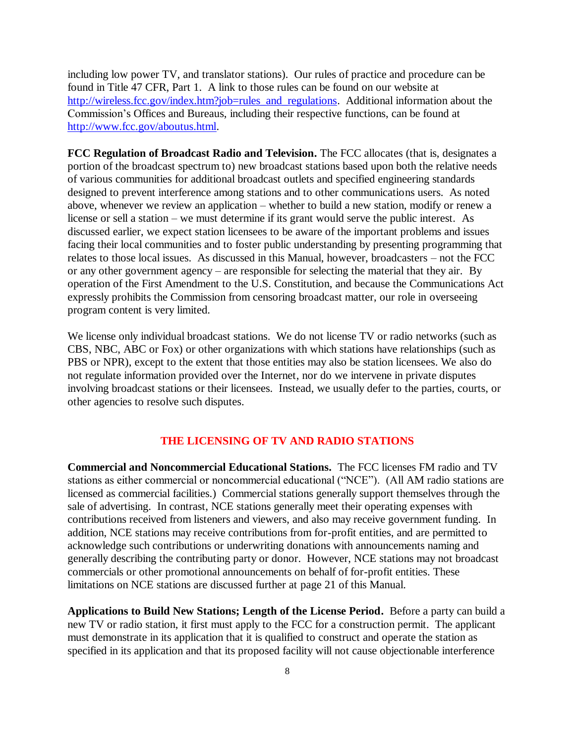including low power TV, and translator stations). Our rules of practice and procedure can be found in Title 47 CFR, Part 1. A link to those rules can be found on our website at [http://wireless.fcc.gov/index.htm?job=rules\\_and\\_regulations.](http://wireless.fcc.gov/index.htm?job=rules_and_regulations) Additional information about the Commission's Offices and Bureaus, including their respective functions, can be found at [http://www.fcc.gov/aboutus.html.](http://www.fcc.gov/aboutus.html)

**FCC Regulation of Broadcast Radio and Television.** The FCC allocates (that is, designates a portion of the broadcast spectrum to) new broadcast stations based upon both the relative needs of various communities for additional broadcast outlets and specified engineering standards designed to prevent interference among stations and to other communications users. As noted above, whenever we review an application – whether to build a new station, modify or renew a license or sell a station – we must determine if its grant would serve the public interest. As discussed earlier, we expect station licensees to be aware of the important problems and issues facing their local communities and to foster public understanding by presenting programming that relates to those local issues. As discussed in this Manual, however, broadcasters – not the FCC or any other government agency – are responsible for selecting the material that they air. By operation of the First Amendment to the U.S. Constitution, and because the Communications Act expressly prohibits the Commission from censoring broadcast matter, our role in overseeing program content is very limited.

We license only individual broadcast stations. We do not license TV or radio networks (such as CBS, NBC, ABC or Fox) or other organizations with which stations have relationships (such as PBS or NPR), except to the extent that those entities may also be station licensees. We also do not regulate information provided over the Internet, nor do we intervene in private disputes involving broadcast stations or their licensees. Instead, we usually defer to the parties, courts, or other agencies to resolve such disputes.

### **THE LICENSING OF TV AND RADIO STATIONS**

**Commercial and Noncommercial Educational Stations.** The FCC licenses FM radio and TV stations as either commercial or noncommercial educational ("NCE"). (All AM radio stations are licensed as commercial facilities.) Commercial stations generally support themselves through the sale of advertising. In contrast, NCE stations generally meet their operating expenses with contributions received from listeners and viewers, and also may receive government funding. In addition, NCE stations may receive contributions from for-profit entities, and are permitted to acknowledge such contributions or underwriting donations with announcements naming and generally describing the contributing party or donor. However, NCE stations may not broadcast commercials or other promotional announcements on behalf of for-profit entities. These limitations on NCE stations are discussed further at page 21 of this Manual.

**Applications to Build New Stations; Length of the License Period.** Before a party can build a new TV or radio station, it first must apply to the FCC for a construction permit. The applicant must demonstrate in its application that it is qualified to construct and operate the station as specified in its application and that its proposed facility will not cause objectionable interference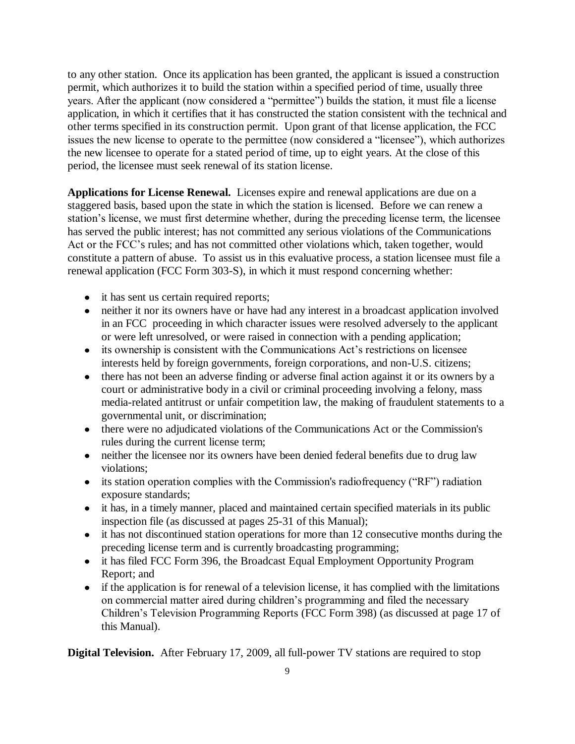to any other station. Once its application has been granted, the applicant is issued a construction permit, which authorizes it to build the station within a specified period of time, usually three years. After the applicant (now considered a "permittee") builds the station, it must file a license application, in which it certifies that it has constructed the station consistent with the technical and other terms specified in its construction permit. Upon grant of that license application, the FCC issues the new license to operate to the permittee (now considered a "licensee"), which authorizes the new licensee to operate for a stated period of time, up to eight years. At the close of this period, the licensee must seek renewal of its station license.

**Applications for License Renewal.** Licenses expire and renewal applications are due on a staggered basis, based upon the state in which the station is licensed. Before we can renew a station's license, we must first determine whether, during the preceding license term, the licensee has served the public interest; has not committed any serious violations of the Communications Act or the FCC's rules; and has not committed other violations which, taken together, would constitute a pattern of abuse. To assist us in this evaluative process, a station licensee must file a renewal application (FCC Form 303-S), in which it must respond concerning whether:

- it has sent us certain required reports;
- neither it nor its owners have or have had any interest in a broadcast application involved in an FCC proceeding in which character issues were resolved adversely to the applicant or were left unresolved, or were raised in connection with a pending application;
- its ownership is consistent with the Communications Act's restrictions on licensee interests held by foreign governments, foreign corporations, and non-U.S. citizens;
- there has not been an adverse finding or adverse final action against it or its owners by a court or administrative body in a civil or criminal proceeding involving a felony, mass media-related antitrust or unfair competition law, the making of fraudulent statements to a governmental unit, or discrimination;
- there were no adjudicated violations of the Communications Act or the Commission's rules during the current license term;
- neither the licensee nor its owners have been denied federal benefits due to drug law violations;
- its station operation complies with the Commission's radiofrequency ("RF") radiation exposure standards;
- it has, in a timely manner, placed and maintained certain specified materials in its public inspection file (as discussed at pages 25-31 of this Manual);
- it has not discontinued station operations for more than 12 consecutive months during the preceding license term and is currently broadcasting programming;
- it has filed FCC Form 396, the Broadcast Equal Employment Opportunity Program Report; and
- if the application is for renewal of a television license, it has complied with the limitations on commercial matter aired during children's programming and filed the necessary Children's Television Programming Reports (FCC Form 398) (as discussed at page 17 of this Manual).

**Digital Television.** After February 17, 2009, all full-power TV stations are required to stop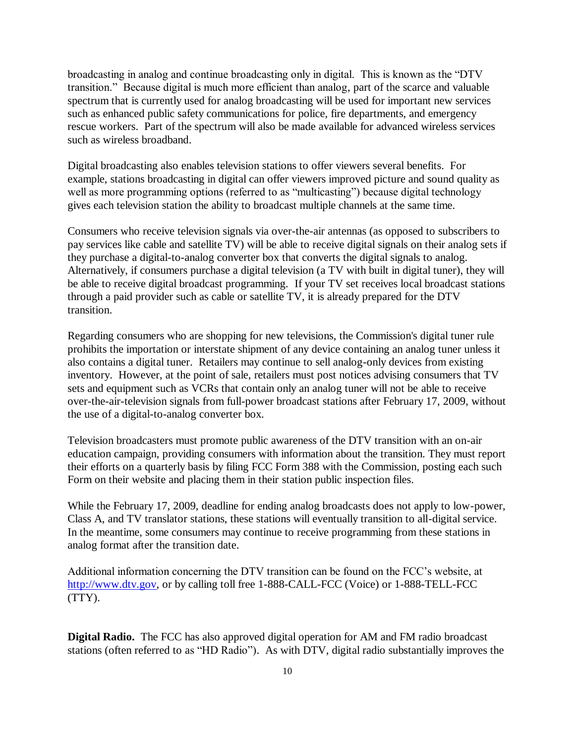broadcasting in analog and continue broadcasting only in digital. This is known as the "DTV transition." Because digital is much more efficient than analog, part of the scarce and valuable spectrum that is currently used for analog broadcasting will be used for important new services such as enhanced public safety communications for police, fire departments, and emergency rescue workers. Part of the spectrum will also be made available for advanced wireless services such as wireless broadband.

Digital broadcasting also enables television stations to offer viewers several benefits. For example, stations broadcasting in digital can offer viewers improved picture and sound quality as well as more programming options (referred to as "multicasting") because digital technology gives each television station the ability to broadcast multiple channels at the same time.

Consumers who receive television signals via over-the-air antennas (as opposed to subscribers to pay services like cable and satellite TV) will be able to receive digital signals on their analog sets if they purchase a digital-to-analog converter box that converts the digital signals to analog. Alternatively, if consumers purchase a digital television (a TV with built in digital tuner), they will be able to receive digital broadcast programming. If your TV set receives local broadcast stations through a paid provider such as cable or satellite TV, it is already prepared for the DTV transition.

Regarding consumers who are shopping for new televisions, the Commission's digital tuner rule prohibits the importation or interstate shipment of any device containing an analog tuner unless it also contains a digital tuner. Retailers may continue to sell analog-only devices from existing inventory. However, at the point of sale, retailers must post notices advising consumers that TV sets and equipment such as VCRs that contain only an analog tuner will not be able to receive over-the-air-television signals from full-power broadcast stations after February 17, 2009, without the use of a digital-to-analog converter box.

Television broadcasters must promote public awareness of the DTV transition with an on-air education campaign, providing consumers with information about the transition. They must report their efforts on a quarterly basis by filing FCC Form 388 with the Commission, posting each such Form on their website and placing them in their station public inspection files.

While the February 17, 2009, deadline for ending analog broadcasts does not apply to low-power, Class A, and TV translator stations, these stations will eventually transition to all-digital service. In the meantime, some consumers may continue to receive programming from these stations in analog format after the transition date.

Additional information concerning the DTV transition can be found on the FCC's website, at [http://www.dtv.gov,](http://www.dtv.gov/) or by calling toll free 1-888-CALL-FCC (Voice) or 1-888-TELL-FCC (TTY).

**Digital Radio.** The FCC has also approved digital operation for AM and FM radio broadcast stations (often referred to as "HD Radio"). As with DTV, digital radio substantially improves the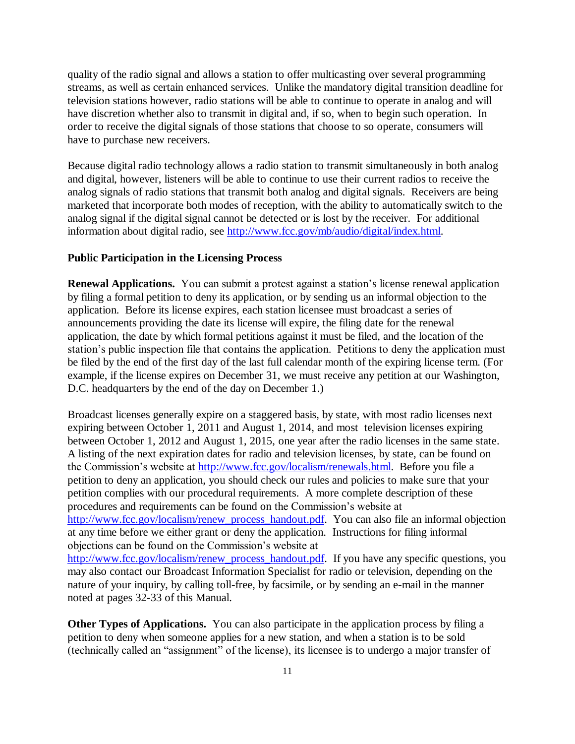quality of the radio signal and allows a station to offer multicasting over several programming streams, as well as certain enhanced services. Unlike the mandatory digital transition deadline for television stations however, radio stations will be able to continue to operate in analog and will have discretion whether also to transmit in digital and, if so, when to begin such operation. In order to receive the digital signals of those stations that choose to so operate, consumers will have to purchase new receivers.

Because digital radio technology allows a radio station to transmit simultaneously in both analog and digital, however, listeners will be able to continue to use their current radios to receive the analog signals of radio stations that transmit both analog and digital signals. Receivers are being marketed that incorporate both modes of reception, with the ability to automatically switch to the analog signal if the digital signal cannot be detected or is lost by the receiver. For additional information about digital radio, see [http://www.fcc.gov/mb/audio/digital/index.html.](http://www.fcc.gov/mb/audio/digital/index.html)

#### **Public Participation in the Licensing Process**

**Renewal Applications.** You can submit a protest against a station's license renewal application by filing a formal petition to deny its application, or by sending us an informal objection to the application. Before its license expires, each station licensee must broadcast a series of announcements providing the date its license will expire, the filing date for the renewal application, the date by which formal petitions against it must be filed, and the location of the station's public inspection file that contains the application. Petitions to deny the application must be filed by the end of the first day of the last full calendar month of the expiring license term. (For example, if the license expires on December 31, we must receive any petition at our Washington, D.C. headquarters by the end of the day on December 1.)

Broadcast licenses generally expire on a staggered basis, by state, with most radio licenses next expiring between October 1, 2011 and August 1, 2014, and most television licenses expiring between October 1, 2012 and August 1, 2015, one year after the radio licenses in the same state. A listing of the next expiration dates for radio and television licenses, by state, can be found on the Commission's website at [http://www.fcc.gov/localism/renewals.html.](http://www.fcc.gov/localism/renewals.html) Before you file a petition to deny an application, you should check our rules and policies to make sure that your petition complies with our procedural requirements. A more complete description of these procedures and requirements can be found on the Commission's website at [http://www.fcc.gov/localism/renew\\_process\\_handout.pdf.](http://www.fcc.gov/localism/renew_process_handout.pdf) You can also file an informal objection at any time before we either grant or deny the application. Instructions for filing informal objections can be found on the Commission's website at [http://www.fcc.gov/localism/renew\\_process\\_handout.pdf.](http://www.fcc.gov/localism/renew_process_handout.pdf) If you have any specific questions, you may also contact our Broadcast Information Specialist for radio or television, depending on the nature of your inquiry, by calling toll-free, by facsimile, or by sending an e-mail in the manner noted at pages 32-33 of this Manual.

**Other Types of Applications.** You can also participate in the application process by filing a petition to deny when someone applies for a new station, and when a station is to be sold (technically called an "assignment" of the license), its licensee is to undergo a major transfer of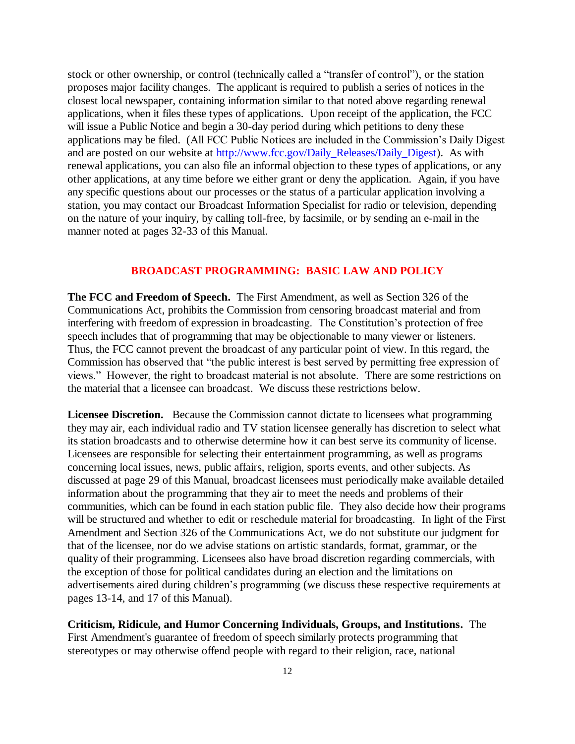stock or other ownership, or control (technically called a "transfer of control"), or the station proposes major facility changes. The applicant is required to publish a series of notices in the closest local newspaper, containing information similar to that noted above regarding renewal applications, when it files these types of applications. Upon receipt of the application, the FCC will issue a Public Notice and begin a 30-day period during which petitions to deny these applications may be filed. (All FCC Public Notices are included in the Commission's Daily Digest and are posted on our website at [http://www.fcc.gov/Daily\\_Releases/Daily\\_Digest\)](http://www.fcc.gov/Daily_Releases/Daily_Digest). As with renewal applications, you can also file an informal objection to these types of applications, or any other applications, at any time before we either grant or deny the application. Again, if you have any specific questions about our processes or the status of a particular application involving a station, you may contact our Broadcast Information Specialist for radio or television, depending on the nature of your inquiry, by calling toll-free, by facsimile, or by sending an e-mail in the manner noted at pages 32-33 of this Manual.

#### **BROADCAST PROGRAMMING: BASIC LAW AND POLICY**

**The FCC and Freedom of Speech.** The First Amendment, as well as Section 326 of the Communications Act, prohibits the Commission from censoring broadcast material and from interfering with freedom of expression in broadcasting. The Constitution's protection of free speech includes that of programming that may be objectionable to many viewer or listeners. Thus, the FCC cannot prevent the broadcast of any particular point of view. In this regard, the Commission has observed that "the public interest is best served by permitting free expression of views." However, the right to broadcast material is not absolute. There are some restrictions on the material that a licensee can broadcast. We discuss these restrictions below.

**Licensee Discretion.** Because the Commission cannot dictate to licensees what programming they may air, each individual radio and TV station licensee generally has discretion to select what its station broadcasts and to otherwise determine how it can best serve its community of license. Licensees are responsible for selecting their entertainment programming, as well as programs concerning local issues, news, public affairs, religion, sports events, and other subjects. As discussed at page 29 of this Manual, broadcast licensees must periodically make available detailed information about the programming that they air to meet the needs and problems of their communities, which can be found in each station public file. They also decide how their programs will be structured and whether to edit or reschedule material for broadcasting. In light of the First Amendment and Section 326 of the Communications Act, we do not substitute our judgment for that of the licensee, nor do we advise stations on artistic standards, format, grammar, or the quality of their programming. Licensees also have broad discretion regarding commercials, with the exception of those for political candidates during an election and the limitations on advertisements aired during children's programming (we discuss these respective requirements at pages 13-14, and 17 of this Manual).

**Criticism, Ridicule, and Humor Concerning Individuals, Groups, and Institutions.** The First Amendment's guarantee of freedom of speech similarly protects programming that stereotypes or may otherwise offend people with regard to their religion, race, national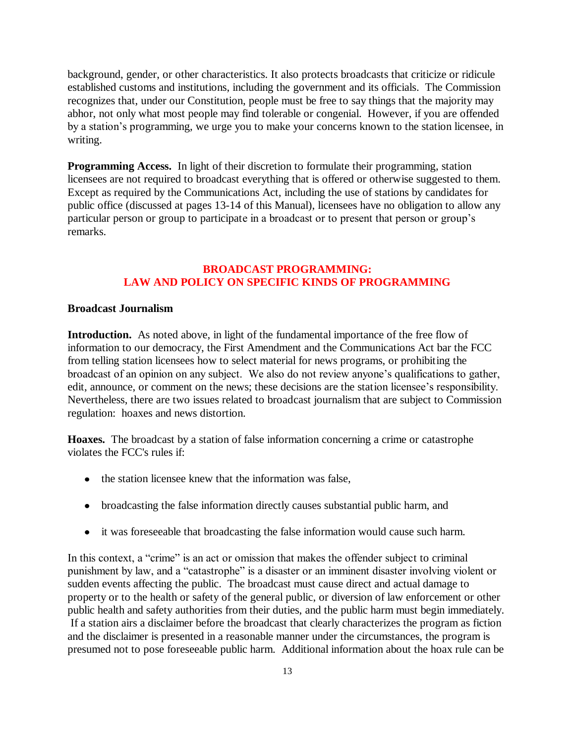background, gender, or other characteristics. It also protects broadcasts that criticize or ridicule established customs and institutions, including the government and its officials. The Commission recognizes that, under our Constitution, people must be free to say things that the majority may abhor, not only what most people may find tolerable or congenial. However, if you are offended by a station's programming, we urge you to make your concerns known to the station licensee, in writing.

**Programming Access.** In light of their discretion to formulate their programming, station licensees are not required to broadcast everything that is offered or otherwise suggested to them. Except as required by the Communications Act, including the use of stations by candidates for public office (discussed at pages 13-14 of this Manual), licensees have no obligation to allow any particular person or group to participate in a broadcast or to present that person or group's remarks.

# **BROADCAST PROGRAMMING: LAW AND POLICY ON SPECIFIC KINDS OF PROGRAMMING**

#### **Broadcast Journalism**

**Introduction.** As noted above, in light of the fundamental importance of the free flow of information to our democracy, the First Amendment and the Communications Act bar the FCC from telling station licensees how to select material for news programs, or prohibiting the broadcast of an opinion on any subject. We also do not review anyone's qualifications to gather, edit, announce, or comment on the news; these decisions are the station licensee's responsibility. Nevertheless, there are two issues related to broadcast journalism that are subject to Commission regulation: hoaxes and news distortion.

**Hoaxes.** The broadcast by a station of false information concerning a crime or catastrophe violates the FCC's rules if:

- the station licensee knew that the information was false,
- broadcasting the false information directly causes substantial public harm, and
- it was foreseeable that broadcasting the false information would cause such harm.

In this context, a "crime" is an act or omission that makes the offender subject to criminal punishment by law, and a "catastrophe" is a disaster or an imminent disaster involving violent or sudden events affecting the public. The broadcast must cause direct and actual damage to property or to the health or safety of the general public, or diversion of law enforcement or other public health and safety authorities from their duties, and the public harm must begin immediately. If a station airs a disclaimer before the broadcast that clearly characterizes the program as fiction and the disclaimer is presented in a reasonable manner under the circumstances, the program is presumed not to pose foreseeable public harm. Additional information about the hoax rule can be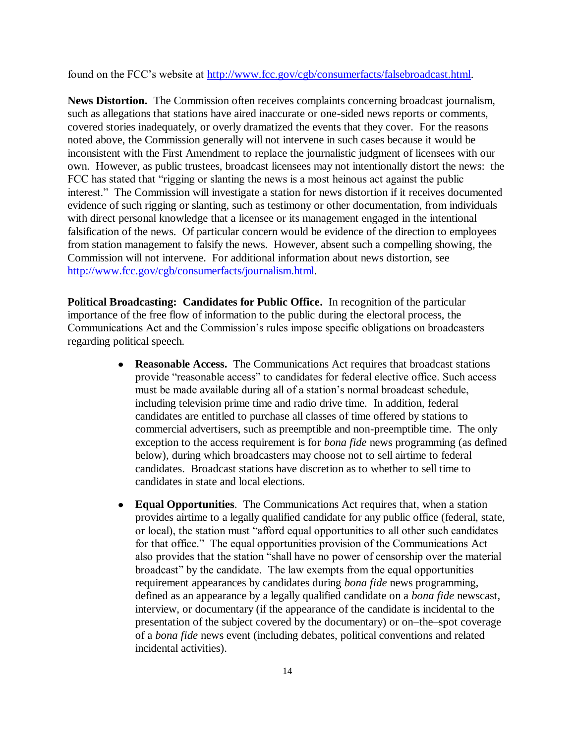found on the FCC's website at [http://www.fcc.gov/cgb/consumerfacts/falsebroadcast.html.](http://www.fcc.gov/cgb/consumerfacts/falsebroadcast.html)

**News Distortion.** The Commission often receives complaints concerning broadcast journalism, such as allegations that stations have aired inaccurate or one-sided news reports or comments, covered stories inadequately, or overly dramatized the events that they cover. For the reasons noted above, the Commission generally will not intervene in such cases because it would be inconsistent with the First Amendment to replace the journalistic judgment of licensees with our own. However, as public trustees, broadcast licensees may not intentionally distort the news: the FCC has stated that "rigging or slanting the news is a most heinous act against the public interest." The Commission will investigate a station for news distortion if it receives documented evidence of such rigging or slanting, such as testimony or other documentation, from individuals with direct personal knowledge that a licensee or its management engaged in the intentional falsification of the news. Of particular concern would be evidence of the direction to employees from station management to falsify the news. However, absent such a compelling showing, the Commission will not intervene. For additional information about news distortion, see [http://www.fcc.gov/cgb/consumerfacts/journalism.html.](http://www.fcc.gov/cgb/consumerfacts/journalism.html)

**Political Broadcasting: Candidates for Public Office.** In recognition of the particular importance of the free flow of information to the public during the electoral process, the Communications Act and the Commission's rules impose specific obligations on broadcasters regarding political speech.

- **Reasonable Access.** The Communications Act requires that broadcast stations  $\bullet$ provide "reasonable access" to candidates for federal elective office. Such access must be made available during all of a station's normal broadcast schedule, including television prime time and radio drive time. In addition, federal candidates are entitled to purchase all classes of time offered by stations to commercial advertisers, such as preemptible and non-preemptible time. The only exception to the access requirement is for *bona fide* news programming (as defined below), during which broadcasters may choose not to sell airtime to federal candidates. Broadcast stations have discretion as to whether to sell time to candidates in state and local elections.
- **Equal Opportunities**. The Communications Act requires that, when a station  $\bullet$ provides airtime to a legally qualified candidate for any public office (federal, state, or local), the station must "afford equal opportunities to all other such candidates for that office." The equal opportunities provision of the Communications Act also provides that the station "shall have no power of censorship over the material broadcast" by the candidate. The law exempts from the equal opportunities requirement appearances by candidates during *bona fide* news programming, defined as an appearance by a legally qualified candidate on a *bona fide* newscast, interview, or documentary (if the appearance of the candidate is incidental to the presentation of the subject covered by the documentary) or on–the–spot coverage of a *bona fide* news event (including debates, political conventions and related incidental activities).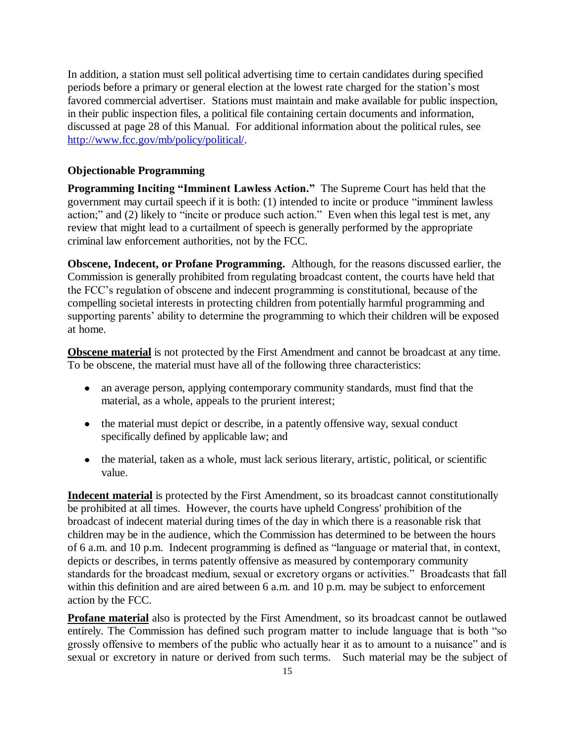In addition, a station must sell political advertising time to certain candidates during specified periods before a primary or general election at the lowest rate charged for the station's most favored commercial advertiser. Stations must maintain and make available for public inspection, in their public inspection files, a political file containing certain documents and information, discussed at page 28 of this Manual. For additional information about the political rules, see [http://www.fcc.gov/mb/policy/political/.](http://www.fcc.gov/mb/policy/political/)

### **Objectionable Programming**

**Programming Inciting "Imminent Lawless Action."** The Supreme Court has held that the government may curtail speech if it is both: (1) intended to incite or produce "imminent lawless action;" and (2) likely to "incite or produce such action." Even when this legal test is met, any review that might lead to a curtailment of speech is generally performed by the appropriate criminal law enforcement authorities, not by the FCC.

**Obscene, Indecent, or Profane Programming.** Although, for the reasons discussed earlier, the Commission is generally prohibited from regulating broadcast content, the courts have held that the FCC's regulation of obscene and indecent programming is constitutional, because of the compelling societal interests in protecting children from potentially harmful programming and supporting parents' ability to determine the programming to which their children will be exposed at home.

**Obscene material** is not protected by the First Amendment and cannot be broadcast at any time. To be obscene, the material must have all of the following three characteristics:

- an average person, applying contemporary community standards, must find that the material, as a whole, appeals to the prurient interest;
- the material must depict or describe, in a patently offensive way, sexual conduct specifically defined by applicable law; and
- the material, taken as a whole, must lack serious literary, artistic, political, or scientific value.

**Indecent material** is protected by the First Amendment, so its broadcast cannot constitutionally be prohibited at all times. However, the courts have upheld Congress' prohibition of the broadcast of indecent material during times of the day in which there is a reasonable risk that children may be in the audience, which the Commission has determined to be between the hours of 6 a.m. and 10 p.m. Indecent programming is defined as "language or material that, in context, depicts or describes, in terms patently offensive as measured by contemporary community standards for the broadcast medium, sexual or excretory organs or activities." Broadcasts that fall within this definition and are aired between 6 a.m. and 10 p.m. may be subject to enforcement action by the FCC.

**Profane material** also is protected by the First Amendment, so its broadcast cannot be outlawed entirely. The Commission has defined such program matter to include language that is both "so grossly offensive to members of the public who actually hear it as to amount to a nuisance" and is sexual or excretory in nature or derived from such terms. Such material may be the subject of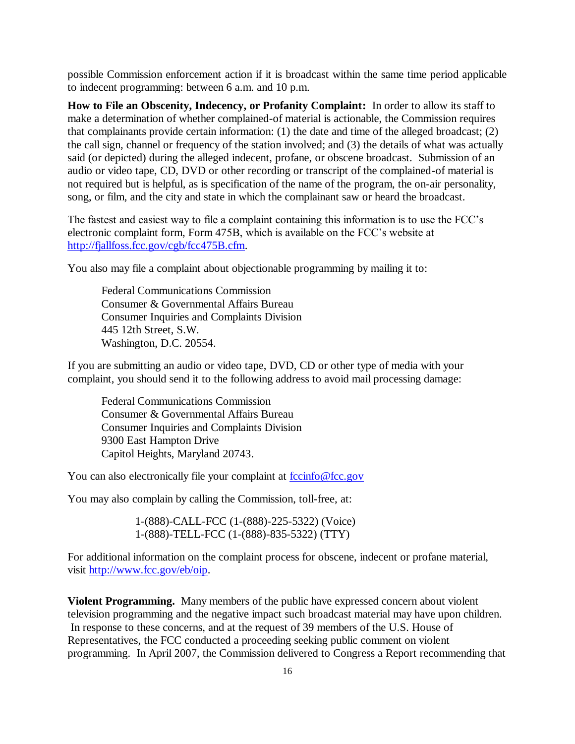possible Commission enforcement action if it is broadcast within the same time period applicable to indecent programming: between 6 a.m. and 10 p.m.

**How to File an Obscenity, Indecency, or Profanity Complaint:** In order to allow its staff to make a determination of whether complained-of material is actionable, the Commission requires that complainants provide certain information: (1) the date and time of the alleged broadcast; (2) the call sign, channel or frequency of the station involved; and (3) the details of what was actually said (or depicted) during the alleged indecent, profane, or obscene broadcast. Submission of an audio or video tape, CD, DVD or other recording or transcript of the complained-of material is not required but is helpful, as is specification of the name of the program, the on-air personality, song, or film, and the city and state in which the complainant saw or heard the broadcast.

The fastest and easiest way to file a complaint containing this information is to use the FCC's electronic complaint form, Form 475B, which is available on the FCC's website at [http://fjallfoss.fcc.gov/cgb/fcc475B.cfm.](http://fjallfoss.fcc.gov/cgb/fcc475B.cfm)

You also may file a complaint about objectionable programming by mailing it to:

Federal Communications Commission Consumer & Governmental Affairs Bureau Consumer Inquiries and Complaints Division 445 12th Street, S.W. Washington, D.C. 20554.

If you are submitting an audio or video tape, DVD, CD or other type of media with your complaint, you should send it to the following address to avoid mail processing damage:

Federal Communications Commission Consumer & Governmental Affairs Bureau Consumer Inquiries and Complaints Division 9300 East Hampton Drive Capitol Heights, Maryland 20743.

You can also electronically file your complaint at [fccinfo@fcc.gov](mailto:fccinfo@fcc.gov)

You may also complain by calling the Commission, toll-free, at:

 1-(888)-CALL-FCC (1-(888)-225-5322) (Voice) 1-(888)-TELL-FCC (1-(888)-835-5322) (TTY)

For additional information on the complaint process for obscene, indecent or profane material, visit [http://www.fcc.gov/eb/oip.](http://www.fcc.gov/eb/oip)

**Violent Programming.** Many members of the public have expressed concern about violent television programming and the negative impact such broadcast material may have upon children. In response to these concerns, and at the request of 39 members of the U.S. House of Representatives, the FCC conducted a proceeding seeking public comment on violent programming. In April 2007, the Commission delivered to Congress a Report recommending that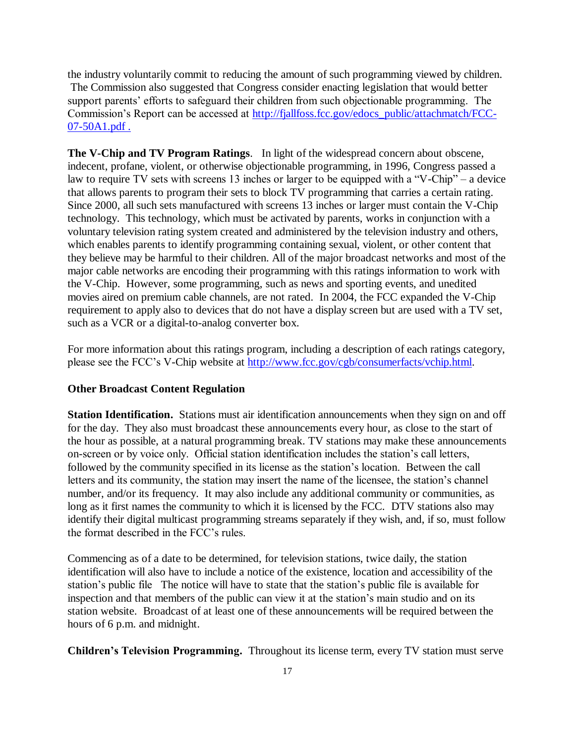the industry voluntarily commit to reducing the amount of such programming viewed by children. The Commission also suggested that Congress consider enacting legislation that would better support parents' efforts to safeguard their children from such objectionable programming. The Commission's Report can be accessed at [http://fjallfoss.fcc.gov/edocs\\_public/attachmatch/FCC-](http://fjallfoss.fcc.gov/edocs_public/attachmatch/FCC-07-50A1.pdf)[07-50A1.pdf .](http://fjallfoss.fcc.gov/edocs_public/attachmatch/FCC-07-50A1.pdf)

**The V-Chip and TV Program Ratings**. In light of the widespread concern about obscene, indecent, profane, violent, or otherwise objectionable programming, in 1996, Congress passed a law to require TV sets with screens 13 inches or larger to be equipped with a "V-Chip" – a device that allows parents to program their sets to block TV programming that carries a certain rating. Since 2000, all such sets manufactured with screens 13 inches or larger must contain the V-Chip technology. This technology, which must be activated by parents, works in conjunction with a voluntary television rating system created and administered by the television industry and others, which enables parents to identify programming containing sexual, violent, or other content that they believe may be harmful to their children. All of the major broadcast networks and most of the major cable networks are encoding their programming with this ratings information to work with the V-Chip. However, some programming, such as news and sporting events, and unedited movies aired on premium cable channels, are not rated. In 2004, the FCC expanded the V-Chip requirement to apply also to devices that do not have a display screen but are used with a TV set, such as a VCR or a digital-to-analog converter box.

For more information about this ratings program, including a description of each ratings category, please see the FCC's V-Chip website at [http://www.fcc.gov/cgb/consumerfacts/vchip.html.](http://www.fcc.gov/cgb/consumerfacts/vchip.html)

#### **Other Broadcast Content Regulation**

**Station Identification.** Stations must air identification announcements when they sign on and off for the day. They also must broadcast these announcements every hour, as close to the start of the hour as possible, at a natural programming break. TV stations may make these announcements on-screen or by voice only. Official station identification includes the station's call letters, followed by the community specified in its license as the station's location. Between the call letters and its community, the station may insert the name of the licensee, the station's channel number, and/or its frequency. It may also include any additional community or communities, as long as it first names the community to which it is licensed by the FCC. DTV stations also may identify their digital multicast programming streams separately if they wish, and, if so, must follow the format described in the FCC's rules.

Commencing as of a date to be determined, for television stations, twice daily, the station identification will also have to include a notice of the existence, location and accessibility of the station's public fileThe notice will have to state that the station's public file is available for inspection and that members of the public can view it at the station's main studio and on its station website. Broadcast of at least one of these announcements will be required between the hours of 6 p.m. and midnight.

**Children's Television Programming.** Throughout its license term, every TV station must serve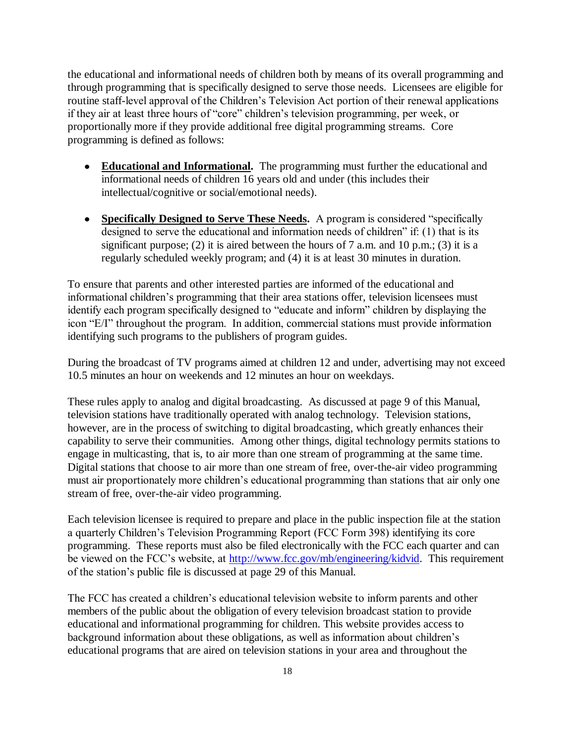the educational and informational needs of children both by means of its overall programming and through programming that is specifically designed to serve those needs. Licensees are eligible for routine staff-level approval of the Children's Television Act portion of their renewal applications if they air at least three hours of "core" children's television programming, per week, or proportionally more if they provide additional free digital programming streams. Core programming is defined as follows:

- **Educational and Informational.** The programming must further the educational and informational needs of children 16 years old and under (this includes their intellectual/cognitive or social/emotional needs).
- **Specifically Designed to Serve These Needs.** A program is considered "specifically designed to serve the educational and information needs of children" if: (1) that is its significant purpose; (2) it is aired between the hours of 7 a.m. and 10 p.m.; (3) it is a regularly scheduled weekly program; and (4) it is at least 30 minutes in duration.

To ensure that parents and other interested parties are informed of the educational and informational children's programming that their area stations offer, television licensees must identify each program specifically designed to "educate and inform" children by displaying the icon "E/I" throughout the program. In addition, commercial stations must provide information identifying such programs to the publishers of program guides.

During the broadcast of TV programs aimed at children 12 and under, advertising may not exceed 10.5 minutes an hour on weekends and 12 minutes an hour on weekdays.

These rules apply to analog and digital broadcasting. As discussed at page 9 of this Manual, television stations have traditionally operated with analog technology. Television stations, however, are in the process of switching to digital broadcasting, which greatly enhances their capability to serve their communities. Among other things, digital technology permits stations to engage in multicasting, that is, to air more than one stream of programming at the same time. Digital stations that choose to air more than one stream of free, over-the-air video programming must air proportionately more children's educational programming than stations that air only one stream of free, over-the-air video programming.

Each television licensee is required to prepare and place in the public inspection file at the station a quarterly Children's Television Programming Report (FCC Form 398) identifying its core programming. These reports must also be filed electronically with the FCC each quarter and can be viewed on the FCC's website, at [http://www.fcc.gov/mb/engineering/kidvid.](http://www.fcc.gov/mb/engineering/kidvid) This requirement of the station's public file is discussed at page 29 of this Manual.

The FCC has created a children's educational television website to inform parents and other members of the public about the obligation of every television broadcast station to provide educational and informational programming for children. This website provides access to background information about these obligations, as well as information about children's educational programs that are aired on television stations in your area and throughout the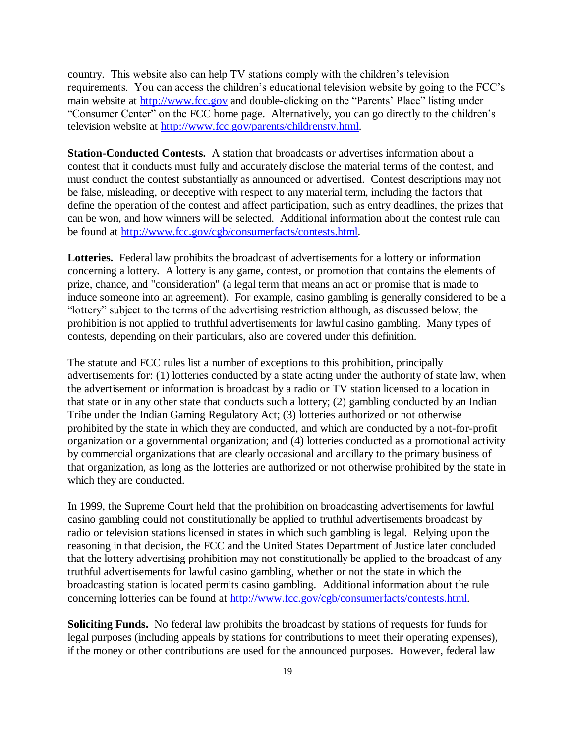country. This website also can help TV stations comply with the children's television requirements. You can access the children's educational television website by going to the FCC's main website at [http://www.fcc.gov](http://www.fcc.gov/) and double-clicking on the "Parents' Place" listing under "Consumer Center" on the FCC home page. Alternatively, you can go directly to the children's television website at [http://www.fcc.gov/parents/childrenstv.html.](http://www.fcc.gov/parents/childrenstv.html)

**Station-Conducted Contests.** A station that broadcasts or advertises information about a contest that it conducts must fully and accurately disclose the material terms of the contest, and must conduct the contest substantially as announced or advertised. Contest descriptions may not be false, misleading, or deceptive with respect to any material term, including the factors that define the operation of the contest and affect participation, such as entry deadlines, the prizes that can be won, and how winners will be selected. Additional information about the contest rule can be found at [http://www.fcc.gov/cgb/consumerfacts/contests.html.](http://www.fcc.gov/cgb/consumerfacts/contests.html)

**Lotteries.** Federal law prohibits the broadcast of advertisements for a lottery or information concerning a lottery. A lottery is any game, contest, or promotion that contains the elements of prize, chance, and "consideration" (a legal term that means an act or promise that is made to induce someone into an agreement). For example, casino gambling is generally considered to be a "lottery" subject to the terms of the advertising restriction although, as discussed below, the prohibition is not applied to truthful advertisements for lawful casino gambling. Many types of contests, depending on their particulars, also are covered under this definition.

The statute and FCC rules list a number of exceptions to this prohibition, principally advertisements for: (1) lotteries conducted by a state acting under the authority of state law, when the advertisement or information is broadcast by a radio or TV station licensed to a location in that state or in any other state that conducts such a lottery; (2) gambling conducted by an Indian Tribe under the Indian Gaming Regulatory Act; (3) lotteries authorized or not otherwise prohibited by the state in which they are conducted, and which are conducted by a not-for-profit organization or a governmental organization; and (4) lotteries conducted as a promotional activity by commercial organizations that are clearly occasional and ancillary to the primary business of that organization, as long as the lotteries are authorized or not otherwise prohibited by the state in which they are conducted.

In 1999, the Supreme Court held that the prohibition on broadcasting advertisements for lawful casino gambling could not constitutionally be applied to truthful advertisements broadcast by radio or television stations licensed in states in which such gambling is legal. Relying upon the reasoning in that decision, the FCC and the United States Department of Justice later concluded that the lottery advertising prohibition may not constitutionally be applied to the broadcast of any truthful advertisements for lawful casino gambling, whether or not the state in which the broadcasting station is located permits casino gambling. Additional information about the rule concerning lotteries can be found at [http://www.fcc.gov/cgb/consumerfacts/contests.html.](http://www.fcc.gov/cgb/consumerfacts/contests.html)

**Soliciting Funds.** No federal law prohibits the broadcast by stations of requests for funds for legal purposes (including appeals by stations for contributions to meet their operating expenses), if the money or other contributions are used for the announced purposes. However, federal law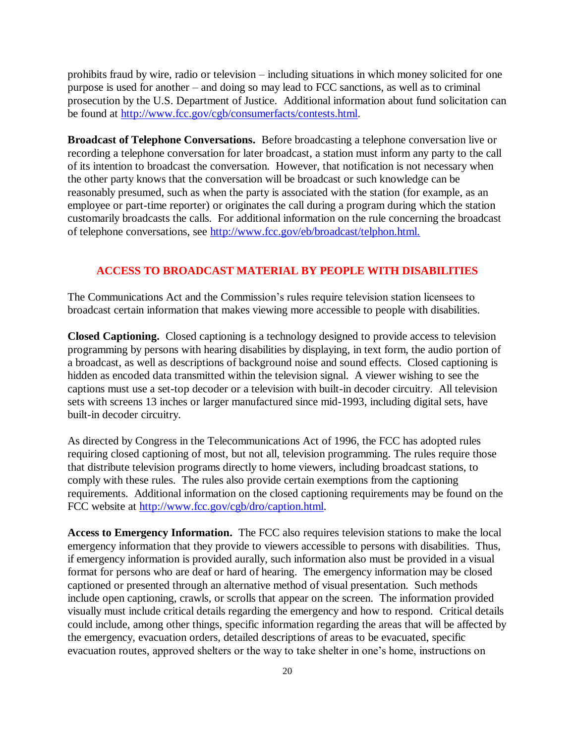prohibits fraud by wire, radio or television – including situations in which money solicited for one purpose is used for another – and doing so may lead to FCC sanctions, as well as to criminal prosecution by the U.S. Department of Justice. Additional information about fund solicitation can be found at [http://www.fcc.gov/cgb/consumerfacts/contests.html.](http://www.fcc.gov/cgb/consumerfacts/contests.html)

**Broadcast of Telephone Conversations.** Before broadcasting a telephone conversation live or recording a telephone conversation for later broadcast, a station must inform any party to the call of its intention to broadcast the conversation. However, that notification is not necessary when the other party knows that the conversation will be broadcast or such knowledge can be reasonably presumed, such as when the party is associated with the station (for example, as an employee or part-time reporter) or originates the call during a program during which the station customarily broadcasts the calls. For additional information on the rule concerning the broadcast of telephone conversations, see [http://www.fcc.gov/eb/broadcast/telphon.html.](http://www.fcc.gov/eb/broadcast/telphon.html)

#### **ACCESS TO BROADCAST MATERIAL BY PEOPLE WITH DISABILITIES**

The Communications Act and the Commission's rules require television station licensees to broadcast certain information that makes viewing more accessible to people with disabilities.

**Closed Captioning.** Closed captioning is a technology designed to provide access to television programming by persons with hearing disabilities by displaying, in text form, the audio portion of a broadcast, as well as descriptions of background noise and sound effects. Closed captioning is hidden as encoded data transmitted within the television signal. A viewer wishing to see the captions must use a set-top decoder or a television with built-in decoder circuitry. All television sets with screens 13 inches or larger manufactured since mid-1993, including digital sets, have built-in decoder circuitry.

As directed by Congress in the Telecommunications Act of 1996, the FCC has adopted rules requiring closed captioning of most, but not all, television programming. The rules require those that distribute television programs directly to home viewers, including broadcast stations, to comply with these rules. The rules also provide certain exemptions from the captioning requirements. Additional information on the closed captioning requirements may be found on the FCC website at [http://www.fcc.gov/cgb/dro/caption.html.](http://www.fcc.gov/cgb/dro/caption.html)

**Access to Emergency Information.** The FCC also requires television stations to make the local emergency information that they provide to viewers accessible to persons with disabilities. Thus, if emergency information is provided aurally, such information also must be provided in a visual format for persons who are deaf or hard of hearing. The emergency information may be closed captioned or presented through an alternative method of visual presentation. Such methods include open captioning, crawls, or scrolls that appear on the screen. The information provided visually must include critical details regarding the emergency and how to respond. Critical details could include, among other things, specific information regarding the areas that will be affected by the emergency, evacuation orders, detailed descriptions of areas to be evacuated, specific evacuation routes, approved shelters or the way to take shelter in one's home, instructions on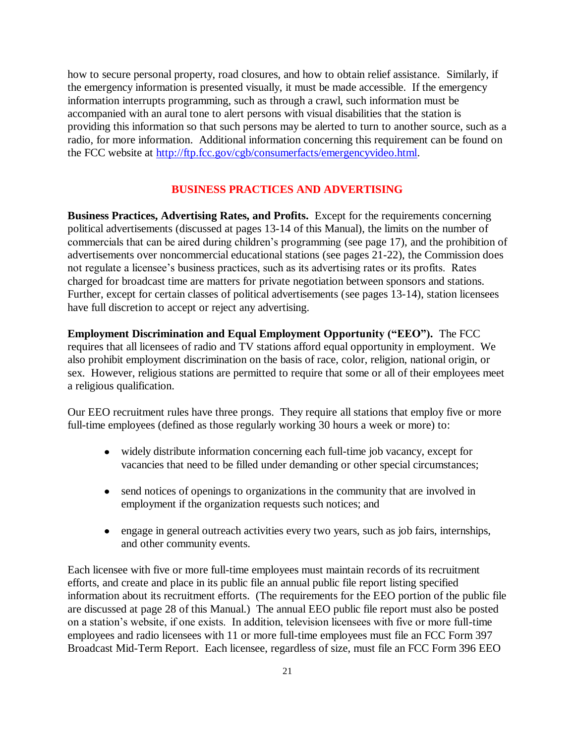how to secure personal property, road closures, and how to obtain relief assistance. Similarly, if the emergency information is presented visually, it must be made accessible. If the emergency information interrupts programming, such as through a crawl, such information must be accompanied with an aural tone to alert persons with visual disabilities that the station is providing this information so that such persons may be alerted to turn to another source, such as a radio, for more information. Additional information concerning this requirement can be found on the FCC website at [http://ftp.fcc.gov/cgb/consumerfacts/emergencyvideo.html.](http://ftp.fcc.gov/cgb/consumerfacts/emergencyvideo.html)

### **BUSINESS PRACTICES AND ADVERTISING**

**Business Practices, Advertising Rates, and Profits.** Except for the requirements concerning political advertisements (discussed at pages 13-14 of this Manual), the limits on the number of commercials that can be aired during children's programming (see page 17), and the prohibition of advertisements over noncommercial educational stations (see pages 21-22), the Commission does not regulate a licensee's business practices, such as its advertising rates or its profits. Rates charged for broadcast time are matters for private negotiation between sponsors and stations. Further, except for certain classes of political advertisements (see pages 13-14), station licensees have full discretion to accept or reject any advertising.

**Employment Discrimination and Equal Employment Opportunity ("EEO").** The FCC

requires that all licensees of radio and TV stations afford equal opportunity in employment. We also prohibit employment discrimination on the basis of race, color, religion, national origin, or sex. However, religious stations are permitted to require that some or all of their employees meet a religious qualification.

Our EEO recruitment rules have three prongs. They require all stations that employ five or more full-time employees (defined as those regularly working 30 hours a week or more) to:

- widely distribute information concerning each full-time job vacancy, except for vacancies that need to be filled under demanding or other special circumstances;
- send notices of openings to organizations in the community that are involved in  $\bullet$ employment if the organization requests such notices; and
- engage in general outreach activities every two years, such as job fairs, internships, and other community events.

Each licensee with five or more full-time employees must maintain records of its recruitment efforts, and create and place in its public file an annual public file report listing specified information about its recruitment efforts. (The requirements for the EEO portion of the public file are discussed at page 28 of this Manual.) The annual EEO public file report must also be posted on a station's website, if one exists. In addition, television licensees with five or more full-time employees and radio licensees with 11 or more full-time employees must file an FCC Form 397 Broadcast Mid-Term Report. Each licensee, regardless of size, must file an FCC Form 396 EEO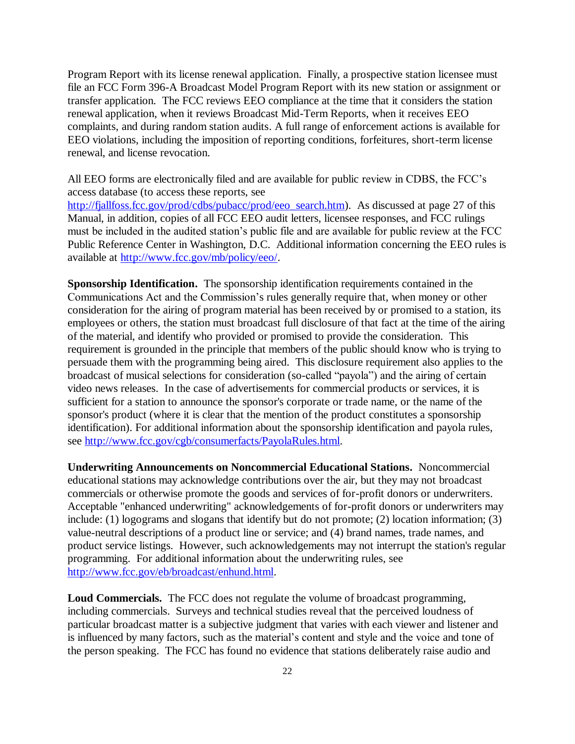Program Report with its license renewal application. Finally, a prospective station licensee must file an FCC Form 396-A Broadcast Model Program Report with its new station or assignment or transfer application. The FCC reviews EEO compliance at the time that it considers the station renewal application, when it reviews Broadcast Mid-Term Reports, when it receives EEO complaints, and during random station audits. A full range of enforcement actions is available for EEO violations, including the imposition of reporting conditions, forfeitures, short-term license renewal, and license revocation.

All EEO forms are electronically filed and are available for public review in CDBS, the FCC's access database (to access these reports, see [http://fjallfoss.fcc.gov/prod/cdbs/pubacc/prod/eeo\\_search.htm\)](http://fjallfoss.fcc.gov/prod/cdbs/pubacc/prod/eeo_search.htm). As discussed at page 27 of this Manual, in addition, copies of all FCC EEO audit letters, licensee responses, and FCC rulings must be included in the audited station's public file and are available for public review at the FCC Public Reference Center in Washington, D.C. Additional information concerning the EEO rules is available at [http://www.fcc.gov/mb/policy/eeo/.](http://www.fcc.gov/mb/policy/eeo/)

**Sponsorship Identification.** The sponsorship identification requirements contained in the Communications Act and the Commission's rules generally require that, when money or other consideration for the airing of program material has been received by or promised to a station, its employees or others, the station must broadcast full disclosure of that fact at the time of the airing of the material, and identify who provided or promised to provide the consideration. This requirement is grounded in the principle that members of the public should know who is trying to persuade them with the programming being aired. This disclosure requirement also applies to the broadcast of musical selections for consideration (so-called "payola") and the airing of certain video news releases. In the case of advertisements for commercial products or services, it is sufficient for a station to announce the sponsor's corporate or trade name, or the name of the sponsor's product (where it is clear that the mention of the product constitutes a sponsorship identification). For additional information about the sponsorship identification and payola rules, see [http://www.fcc.gov/cgb/consumerfacts/PayolaRules.html.](http://www.fcc.gov/cgb/consumerfacts/PayolaRules.html)

**Underwriting Announcements on Noncommercial Educational Stations.** Noncommercial educational stations may acknowledge contributions over the air, but they may not broadcast commercials or otherwise promote the goods and services of for-profit donors or underwriters. Acceptable "enhanced underwriting" acknowledgements of for-profit donors or underwriters may include: (1) logograms and slogans that identify but do not promote; (2) location information; (3) value-neutral descriptions of a product line or service; and (4) brand names, trade names, and product service listings. However, such acknowledgements may not interrupt the station's regular programming. For additional information about the underwriting rules, see [http://www.fcc.gov/eb/broadcast/enhund.html.](http://www.fcc.gov/eb/broadcast/enhund.html)

**Loud Commercials.** The FCC does not regulate the volume of broadcast programming, including commercials. Surveys and technical studies reveal that the perceived loudness of particular broadcast matter is a subjective judgment that varies with each viewer and listener and is influenced by many factors, such as the material's content and style and the voice and tone of the person speaking. The FCC has found no evidence that stations deliberately raise audio and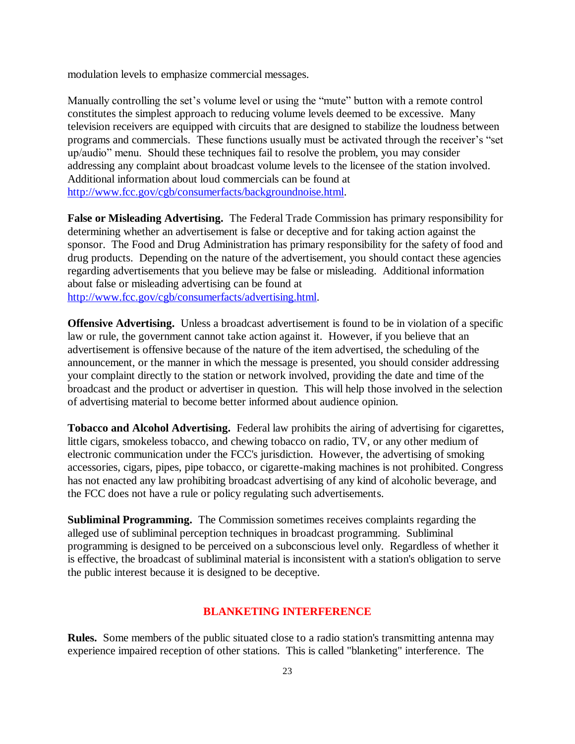modulation levels to emphasize commercial messages.

Manually controlling the set's volume level or using the "mute" button with a remote control constitutes the simplest approach to reducing volume levels deemed to be excessive. Many television receivers are equipped with circuits that are designed to stabilize the loudness between programs and commercials. These functions usually must be activated through the receiver's "set up/audio" menu. Should these techniques fail to resolve the problem, you may consider addressing any complaint about broadcast volume levels to the licensee of the station involved. Additional information about loud commercials can be found at [http://www.fcc.gov/cgb/consumerfacts/backgroundnoise.html.](http://www.fcc.gov/cgb/consumerfacts/backgroundnoise.html)

**False or Misleading Advertising.** The Federal Trade Commission has primary responsibility for determining whether an advertisement is false or deceptive and for taking action against the sponsor. The Food and Drug Administration has primary responsibility for the safety of food and drug products. Depending on the nature of the advertisement, you should contact these agencies regarding advertisements that you believe may be false or misleading. Additional information about false or misleading advertising can be found at [http://www.fcc.gov/cgb/consumerfacts/advertising.html.](http://www.fcc.gov/cgb/consumerfacts/advertising.html)

**Offensive Advertising.** Unless a broadcast advertisement is found to be in violation of a specific law or rule, the government cannot take action against it. However, if you believe that an advertisement is offensive because of the nature of the item advertised, the scheduling of the announcement, or the manner in which the message is presented, you should consider addressing your complaint directly to the station or network involved, providing the date and time of the broadcast and the product or advertiser in question. This will help those involved in the selection of advertising material to become better informed about audience opinion.

**Tobacco and Alcohol Advertising.** Federal law prohibits the airing of advertising for cigarettes, little cigars, smokeless tobacco, and chewing tobacco on radio, TV, or any other medium of electronic communication under the FCC's jurisdiction. However, the advertising of smoking accessories, cigars, pipes, pipe tobacco, or cigarette-making machines is not prohibited. Congress has not enacted any law prohibiting broadcast advertising of any kind of alcoholic beverage, and the FCC does not have a rule or policy regulating such advertisements.

**Subliminal Programming.** The Commission sometimes receives complaints regarding the alleged use of subliminal perception techniques in broadcast programming. Subliminal programming is designed to be perceived on a subconscious level only. Regardless of whether it is effective, the broadcast of subliminal material is inconsistent with a station's obligation to serve the public interest because it is designed to be deceptive.

### **BLANKETING INTERFERENCE**

**Rules.** Some members of the public situated close to a radio station's transmitting antenna may experience impaired reception of other stations. This is called "blanketing" interference. The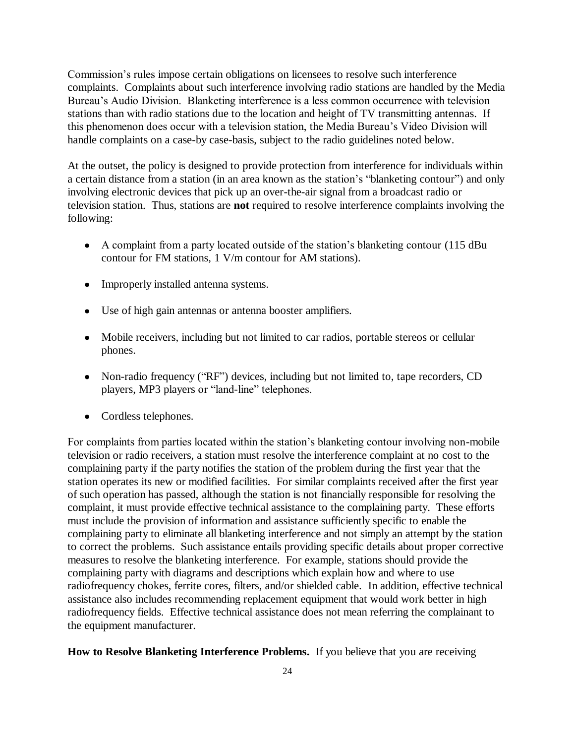Commission's rules impose certain obligations on licensees to resolve such interference complaints. Complaints about such interference involving radio stations are handled by the Media Bureau's Audio Division. Blanketing interference is a less common occurrence with television stations than with radio stations due to the location and height of TV transmitting antennas. If this phenomenon does occur with a television station, the Media Bureau's Video Division will handle complaints on a case-by case-basis, subject to the radio guidelines noted below.

At the outset, the policy is designed to provide protection from interference for individuals within a certain distance from a station (in an area known as the station's "blanketing contour") and only involving electronic devices that pick up an over-the-air signal from a broadcast radio or television station. Thus, stations are **not** required to resolve interference complaints involving the following:

- A complaint from a party located outside of the station's blanketing contour (115 dBu contour for FM stations, 1 V/m contour for AM stations).
- Improperly installed antenna systems.
- Use of high gain antennas or antenna booster amplifiers.
- Mobile receivers, including but not limited to car radios, portable stereos or cellular phones.
- Non-radio frequency ("RF") devices, including but not limited to, tape recorders, CD players, MP3 players or "land-line" telephones.
- Cordless telephones.

For complaints from parties located within the station's blanketing contour involving non-mobile television or radio receivers, a station must resolve the interference complaint at no cost to the complaining party if the party notifies the station of the problem during the first year that the station operates its new or modified facilities. For similar complaints received after the first year of such operation has passed, although the station is not financially responsible for resolving the complaint, it must provide effective technical assistance to the complaining party. These efforts must include the provision of information and assistance sufficiently specific to enable the complaining party to eliminate all blanketing interference and not simply an attempt by the station to correct the problems. Such assistance entails providing specific details about proper corrective measures to resolve the blanketing interference. For example, stations should provide the complaining party with diagrams and descriptions which explain how and where to use radiofrequency chokes, ferrite cores, filters, and/or shielded cable. In addition, effective technical assistance also includes recommending replacement equipment that would work better in high radiofrequency fields. Effective technical assistance does not mean referring the complainant to the equipment manufacturer.

**How to Resolve Blanketing Interference Problems.** If you believe that you are receiving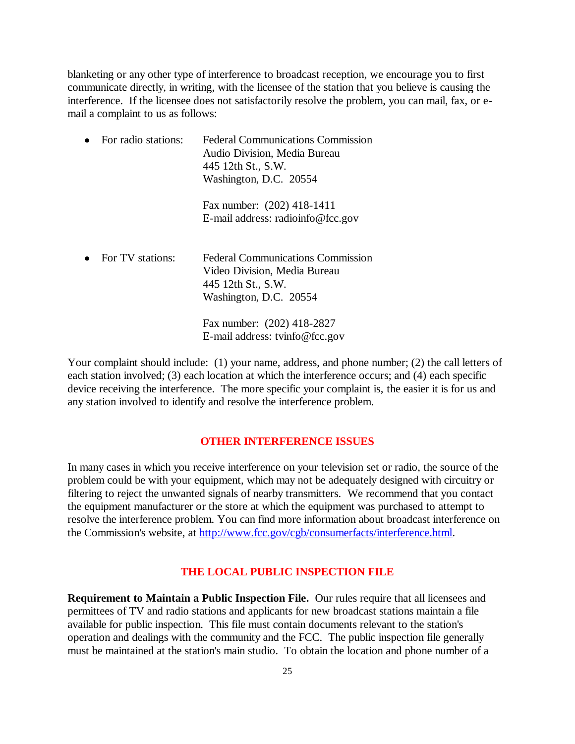blanketing or any other type of interference to broadcast reception, we encourage you to first communicate directly, in writing, with the licensee of the station that you believe is causing the interference. If the licensee does not satisfactorily resolve the problem, you can mail, fax, or email a complaint to us as follows:

| For radio stations: | <b>Federal Communications Commission</b><br>Audio Division, Media Bureau<br>445 12th St., S.W.<br>Washington, D.C. 20554 |
|---------------------|--------------------------------------------------------------------------------------------------------------------------|
|                     | Fax number: (202) 418-1411<br>E-mail address: radioinfo@fcc.gov                                                          |
| For TV stations:    | <b>Federal Communications Commission</b><br>Video Division, Media Bureau<br>445 12th St., S.W.<br>Washington, D.C. 20554 |
|                     | Fax number: (202) 418-2827<br>E-mail address: tvinfo@fcc.gov                                                             |

Your complaint should include: (1) your name, address, and phone number; (2) the call letters of each station involved; (3) each location at which the interference occurs; and (4) each specific device receiving the interference. The more specific your complaint is, the easier it is for us and any station involved to identify and resolve the interference problem.

#### **OTHER INTERFERENCE ISSUES**

In many cases in which you receive interference on your television set or radio, the source of the problem could be with your equipment, which may not be adequately designed with circuitry or filtering to reject the unwanted signals of nearby transmitters. We recommend that you contact the equipment manufacturer or the store at which the equipment was purchased to attempt to resolve the interference problem. You can find more information about broadcast interference on the Commission's website, at [http://www.fcc.gov/cgb/consumerfacts/interference.html.](http://www.fcc.gov/cgb/consumerfacts/interference.html)

#### **THE LOCAL PUBLIC INSPECTION FILE**

**Requirement to Maintain a Public Inspection File.** Our rules require that all licensees and permittees of TV and radio stations and applicants for new broadcast stations maintain a file available for public inspection. This file must contain documents relevant to the station's operation and dealings with the community and the FCC. The public inspection file generally must be maintained at the station's main studio. To obtain the location and phone number of a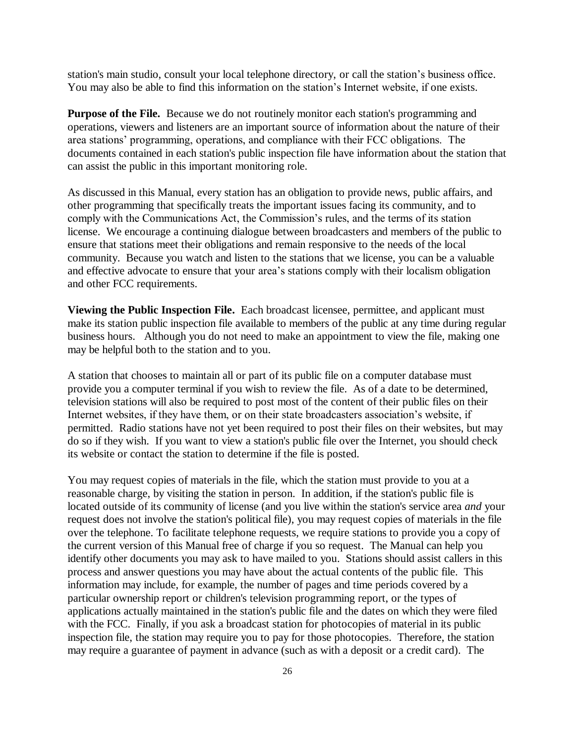station's main studio, consult your local telephone directory, or call the station's business office. You may also be able to find this information on the station's Internet website, if one exists.

**Purpose of the File.** Because we do not routinely monitor each station's programming and operations, viewers and listeners are an important source of information about the nature of their area stations' programming, operations, and compliance with their FCC obligations. The documents contained in each station's public inspection file have information about the station that can assist the public in this important monitoring role.

As discussed in this Manual, every station has an obligation to provide news, public affairs, and other programming that specifically treats the important issues facing its community, and to comply with the Communications Act, the Commission's rules, and the terms of its station license. We encourage a continuing dialogue between broadcasters and members of the public to ensure that stations meet their obligations and remain responsive to the needs of the local community. Because you watch and listen to the stations that we license, you can be a valuable and effective advocate to ensure that your area's stations comply with their localism obligation and other FCC requirements.

**Viewing the Public Inspection File.** Each broadcast licensee, permittee, and applicant must make its station public inspection file available to members of the public at any time during regular business hours. Although you do not need to make an appointment to view the file, making one may be helpful both to the station and to you.

A station that chooses to maintain all or part of its public file on a computer database must provide you a computer terminal if you wish to review the file. As of a date to be determined, television stations will also be required to post most of the content of their public files on their Internet websites, if they have them, or on their state broadcasters association's website, if permitted. Radio stations have not yet been required to post their files on their websites, but may do so if they wish. If you want to view a station's public file over the Internet, you should check its website or contact the station to determine if the file is posted.

You may request copies of materials in the file, which the station must provide to you at a reasonable charge, by visiting the station in person. In addition, if the station's public file is located outside of its community of license (and you live within the station's service area *and* your request does not involve the station's political file), you may request copies of materials in the file over the telephone. To facilitate telephone requests, we require stations to provide you a copy of the current version of this Manual free of charge if you so request. The Manual can help you identify other documents you may ask to have mailed to you. Stations should assist callers in this process and answer questions you may have about the actual contents of the public file. This information may include, for example, the number of pages and time periods covered by a particular ownership report or children's television programming report, or the types of applications actually maintained in the station's public file and the dates on which they were filed with the FCC. Finally, if you ask a broadcast station for photocopies of material in its public inspection file, the station may require you to pay for those photocopies. Therefore, the station may require a guarantee of payment in advance (such as with a deposit or a credit card). The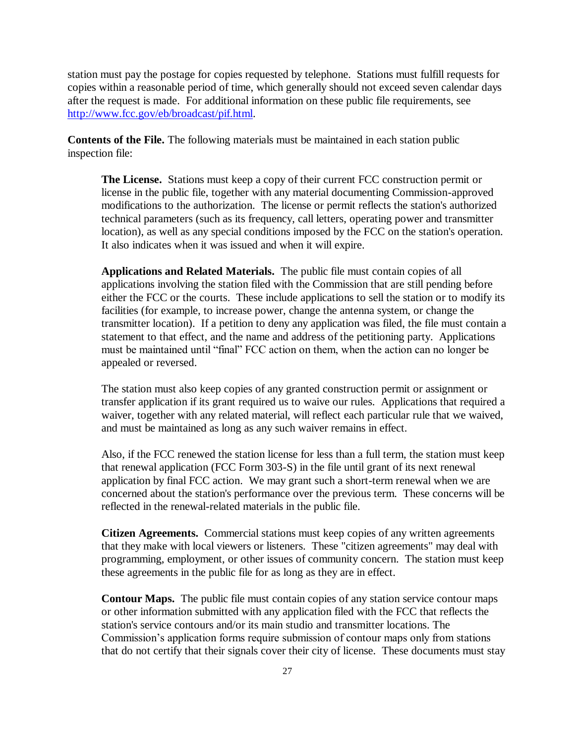station must pay the postage for copies requested by telephone. Stations must fulfill requests for copies within a reasonable period of time, which generally should not exceed seven calendar days after the request is made. For additional information on these public file requirements, see [http://www.fcc.gov/eb/broadcast/pif.html.](http://www.fcc.gov/eb/broadcast/pif.html)

**Contents of the File.** The following materials must be maintained in each station public inspection file:

**The License.** Stations must keep a copy of their current FCC construction permit or license in the public file, together with any material documenting Commission-approved modifications to the authorization. The license or permit reflects the station's authorized technical parameters (such as its frequency, call letters, operating power and transmitter location), as well as any special conditions imposed by the FCC on the station's operation. It also indicates when it was issued and when it will expire.

**Applications and Related Materials.** The public file must contain copies of all applications involving the station filed with the Commission that are still pending before either the FCC or the courts. These include applications to sell the station or to modify its facilities (for example, to increase power, change the antenna system, or change the transmitter location). If a petition to deny any application was filed, the file must contain a statement to that effect, and the name and address of the petitioning party. Applications must be maintained until "final" FCC action on them, when the action can no longer be appealed or reversed.

The station must also keep copies of any granted construction permit or assignment or transfer application if its grant required us to waive our rules. Applications that required a waiver, together with any related material, will reflect each particular rule that we waived, and must be maintained as long as any such waiver remains in effect.

Also, if the FCC renewed the station license for less than a full term, the station must keep that renewal application (FCC Form 303-S) in the file until grant of its next renewal application by final FCC action. We may grant such a short-term renewal when we are concerned about the station's performance over the previous term. These concerns will be reflected in the renewal-related materials in the public file.

**Citizen Agreements.** Commercial stations must keep copies of any written agreements that they make with local viewers or listeners. These "citizen agreements" may deal with programming, employment, or other issues of community concern. The station must keep these agreements in the public file for as long as they are in effect.

**Contour Maps.** The public file must contain copies of any station service contour maps or other information submitted with any application filed with the FCC that reflects the station's service contours and/or its main studio and transmitter locations. The Commission's application forms require submission of contour maps only from stations that do not certify that their signals cover their city of license. These documents must stay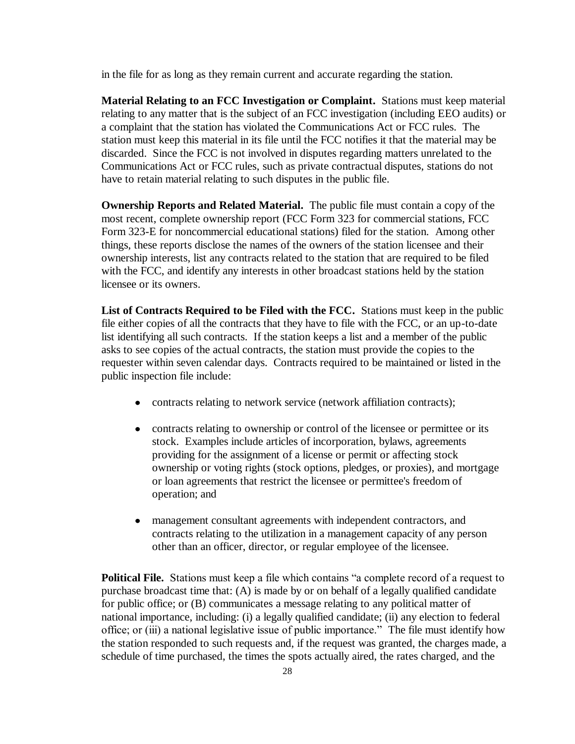in the file for as long as they remain current and accurate regarding the station.

**Material Relating to an FCC Investigation or Complaint.** Stations must keep material relating to any matter that is the subject of an FCC investigation (including EEO audits) or a complaint that the station has violated the Communications Act or FCC rules. The station must keep this material in its file until the FCC notifies it that the material may be discarded. Since the FCC is not involved in disputes regarding matters unrelated to the Communications Act or FCC rules, such as private contractual disputes, stations do not have to retain material relating to such disputes in the public file.

**Ownership Reports and Related Material.** The public file must contain a copy of the most recent, complete ownership report (FCC Form 323 for commercial stations, FCC Form 323-E for noncommercial educational stations) filed for the station. Among other things, these reports disclose the names of the owners of the station licensee and their ownership interests, list any contracts related to the station that are required to be filed with the FCC, and identify any interests in other broadcast stations held by the station licensee or its owners.

**List of Contracts Required to be Filed with the FCC.** Stations must keep in the public file either copies of all the contracts that they have to file with the FCC, or an up-to-date list identifying all such contracts. If the station keeps a list and a member of the public asks to see copies of the actual contracts, the station must provide the copies to the requester within seven calendar days. Contracts required to be maintained or listed in the public inspection file include:

- contracts relating to network service (network affiliation contracts);
- contracts relating to ownership or control of the licensee or permittee or its stock. Examples include articles of incorporation, bylaws, agreements providing for the assignment of a license or permit or affecting stock ownership or voting rights (stock options, pledges, or proxies), and mortgage or loan agreements that restrict the licensee or permittee's freedom of operation; and
- management consultant agreements with independent contractors, and contracts relating to the utilization in a management capacity of any person other than an officer, director, or regular employee of the licensee.

**Political File.** Stations must keep a file which contains "a complete record of a request to purchase broadcast time that: (A) is made by or on behalf of a legally qualified candidate for public office; or (B) communicates a message relating to any political matter of national importance, including: (i) a legally qualified candidate; (ii) any election to federal office; or (iii) a national legislative issue of public importance." The file must identify how the station responded to such requests and, if the request was granted, the charges made, a schedule of time purchased, the times the spots actually aired, the rates charged, and the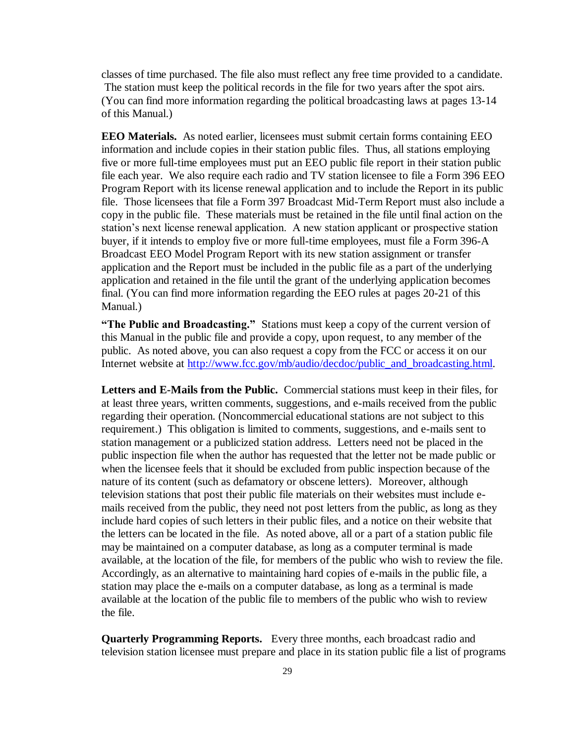classes of time purchased. The file also must reflect any free time provided to a candidate. The station must keep the political records in the file for two years after the spot airs. (You can find more information regarding the political broadcasting laws at pages 13-14 of this Manual.)

**EEO Materials.** As noted earlier, licensees must submit certain forms containing EEO information and include copies in their station public files. Thus, all stations employing five or more full-time employees must put an EEO public file report in their station public file each year. We also require each radio and TV station licensee to file a Form 396 EEO Program Report with its license renewal application and to include the Report in its public file. Those licensees that file a Form 397 Broadcast Mid-Term Report must also include a copy in the public file. These materials must be retained in the file until final action on the station's next license renewal application. A new station applicant or prospective station buyer, if it intends to employ five or more full-time employees, must file a Form 396-A Broadcast EEO Model Program Report with its new station assignment or transfer application and the Report must be included in the public file as a part of the underlying application and retained in the file until the grant of the underlying application becomes final. (You can find more information regarding the EEO rules at pages 20-21 of this Manual.)

**"The Public and Broadcasting."** Stations must keep a copy of the current version of this Manual in the public file and provide a copy, upon request, to any member of the public. As noted above, you can also request a copy from the FCC or access it on our Internet website at [http://www.fcc.gov/mb/audio/decdoc/public\\_and\\_broadcasting.html.](http://www.fcc.gov/mb/audio/decdoc/public_and_broadcasting.html)

**Letters and E-Mails from the Public.** Commercial stations must keep in their files, for at least three years, written comments, suggestions, and e-mails received from the public regarding their operation. (Noncommercial educational stations are not subject to this requirement.) This obligation is limited to comments, suggestions, and e-mails sent to station management or a publicized station address. Letters need not be placed in the public inspection file when the author has requested that the letter not be made public or when the licensee feels that it should be excluded from public inspection because of the nature of its content (such as defamatory or obscene letters). Moreover, although television stations that post their public file materials on their websites must include emails received from the public, they need not post letters from the public, as long as they include hard copies of such letters in their public files, and a notice on their website that the letters can be located in the file. As noted above, all or a part of a station public file may be maintained on a computer database, as long as a computer terminal is made available, at the location of the file, for members of the public who wish to review the file. Accordingly, as an alternative to maintaining hard copies of e-mails in the public file, a station may place the e-mails on a computer database, as long as a terminal is made available at the location of the public file to members of the public who wish to review the file.

**Quarterly Programming Reports.** Every three months, each broadcast radio and television station licensee must prepare and place in its station public file a list of programs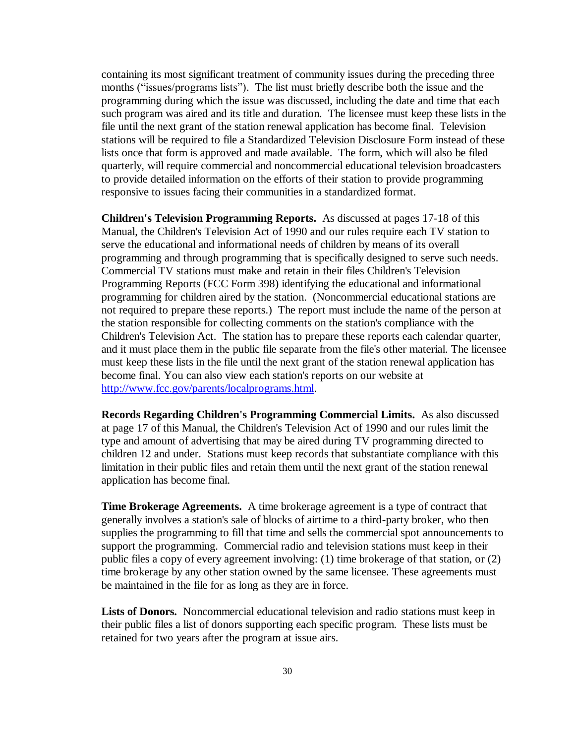containing its most significant treatment of community issues during the preceding three months ("issues/programs lists"). The list must briefly describe both the issue and the programming during which the issue was discussed, including the date and time that each such program was aired and its title and duration. The licensee must keep these lists in the file until the next grant of the station renewal application has become final. Television stations will be required to file a Standardized Television Disclosure Form instead of these lists once that form is approved and made available. The form, which will also be filed quarterly, will require commercial and noncommercial educational television broadcasters to provide detailed information on the efforts of their station to provide programming responsive to issues facing their communities in a standardized format.

**Children's Television Programming Reports.** As discussed at pages 17-18 of this Manual, the Children's Television Act of 1990 and our rules require each TV station to serve the educational and informational needs of children by means of its overall programming and through programming that is specifically designed to serve such needs. Commercial TV stations must make and retain in their files Children's Television Programming Reports (FCC Form 398) identifying the educational and informational programming for children aired by the station. (Noncommercial educational stations are not required to prepare these reports.) The report must include the name of the person at the station responsible for collecting comments on the station's compliance with the Children's Television Act. The station has to prepare these reports each calendar quarter, and it must place them in the public file separate from the file's other material. The licensee must keep these lists in the file until the next grant of the station renewal application has become final. You can also view each station's reports on our website at [http://www.fcc.gov/parents/localprograms.html.](http://www.fcc.gov/parents/localprograms.html)

**Records Regarding Children's Programming Commercial Limits.** As also discussed at page 17 of this Manual, the Children's Television Act of 1990 and our rules limit the type and amount of advertising that may be aired during TV programming directed to children 12 and under. Stations must keep records that substantiate compliance with this limitation in their public files and retain them until the next grant of the station renewal application has become final.

**Time Brokerage Agreements.** A time brokerage agreement is a type of contract that generally involves a station's sale of blocks of airtime to a third-party broker, who then supplies the programming to fill that time and sells the commercial spot announcements to support the programming. Commercial radio and television stations must keep in their public files a copy of every agreement involving: (1) time brokerage of that station, or (2) time brokerage by any other station owned by the same licensee. These agreements must be maintained in the file for as long as they are in force.

**Lists of Donors.** Noncommercial educational television and radio stations must keep in their public files a list of donors supporting each specific program. These lists must be retained for two years after the program at issue airs.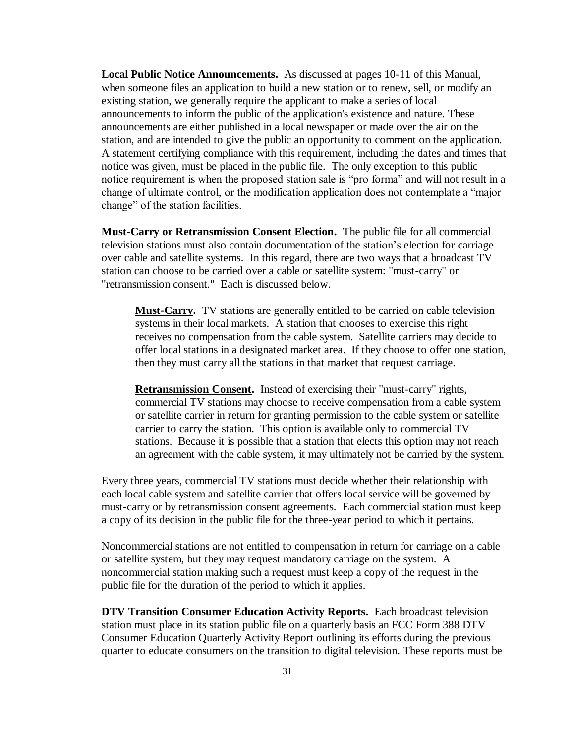**Local Public Notice Announcements.** As discussed at pages 10-11 of this Manual, when someone files an application to build a new station or to renew, sell, or modify an existing station, we generally require the applicant to make a series of local announcements to inform the public of the application's existence and nature. These announcements are either published in a local newspaper or made over the air on the station, and are intended to give the public an opportunity to comment on the application. A statement certifying compliance with this requirement, including the dates and times that notice was given, must be placed in the public file. The only exception to this public notice requirement is when the proposed station sale is "pro forma" and will not result in a change of ultimate control, or the modification application does not contemplate a "major change" of the station facilities.

**Must-Carry or Retransmission Consent Election.** The public file for all commercial television stations must also contain documentation of the station's election for carriage over cable and satellite systems. In this regard, there are two ways that a broadcast TV station can choose to be carried over a cable or satellite system: "must-carry" or "retransmission consent." Each is discussed below.

**Must-Carry.** TV stations are generally entitled to be carried on cable television systems in their local markets. A station that chooses to exercise this right receives no compensation from the cable system. Satellite carriers may decide to offer local stations in a designated market area. If they choose to offer one station, then they must carry all the stations in that market that request carriage.

**Retransmission Consent.** Instead of exercising their "must-carry" rights, commercial TV stations may choose to receive compensation from a cable system or satellite carrier in return for granting permission to the cable system or satellite carrier to carry the station. This option is available only to commercial TV stations. Because it is possible that a station that elects this option may not reach an agreement with the cable system, it may ultimately not be carried by the system.

Every three years, commercial TV stations must decide whether their relationship with each local cable system and satellite carrier that offers local service will be governed by must-carry or by retransmission consent agreements. Each commercial station must keep a copy of its decision in the public file for the three-year period to which it pertains.

Noncommercial stations are not entitled to compensation in return for carriage on a cable or satellite system, but they may request mandatory carriage on the system. A noncommercial station making such a request must keep a copy of the request in the public file for the duration of the period to which it applies.

**DTV Transition Consumer Education Activity Reports.** Each broadcast television station must place in its station public file on a quarterly basis an FCC Form 388 DTV Consumer Education Quarterly Activity Report outlining its efforts during the previous quarter to educate consumers on the transition to digital television. These reports must be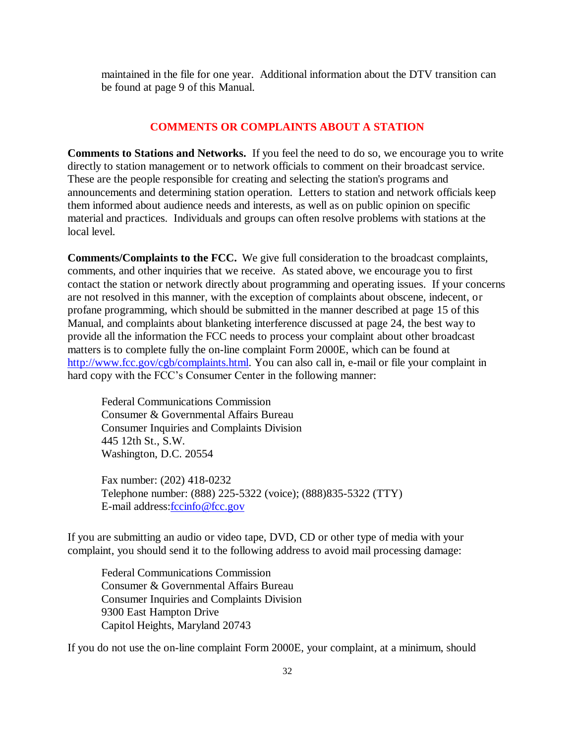maintained in the file for one year. Additional information about the DTV transition can be found at page 9 of this Manual.

#### **COMMENTS OR COMPLAINTS ABOUT A STATION**

**Comments to Stations and Networks.** If you feel the need to do so, we encourage you to write directly to station management or to network officials to comment on their broadcast service. These are the people responsible for creating and selecting the station's programs and announcements and determining station operation. Letters to station and network officials keep them informed about audience needs and interests, as well as on public opinion on specific material and practices. Individuals and groups can often resolve problems with stations at the local level.

**Comments/Complaints to the FCC.** We give full consideration to the broadcast complaints, comments, and other inquiries that we receive. As stated above, we encourage you to first contact the station or network directly about programming and operating issues. If your concerns are not resolved in this manner, with the exception of complaints about obscene, indecent, or profane programming, which should be submitted in the manner described at page 15 of this Manual, and complaints about blanketing interference discussed at page 24, the best way to provide all the information the FCC needs to process your complaint about other broadcast matters is to complete fully the on-line complaint Form 2000E, which can be found at [http://www.fcc.gov/cgb/complaints.html.](http://www.fcc.gov/cgb/complaints.html) You can also call in, e-mail or file your complaint in hard copy with the FCC's Consumer Center in the following manner:

Federal Communications Commission Consumer & Governmental Affairs Bureau Consumer Inquiries and Complaints Division 445 12th St., S.W. Washington, D.C. 20554

Fax number: (202) 418-0232 Telephone number: (888) 225-5322 (voice); (888)835-5322 (TTY) E-mail address[:fccinfo@fcc.gov](file:///C:\Documents%20and%20Settings\William.Freedman\Local%20Settings\William.Freedman\Local%20Settings\Temporary%20Internet%20Files\OLK1\fccinfo@fcc.gov)

If you are submitting an audio or video tape, DVD, CD or other type of media with your complaint, you should send it to the following address to avoid mail processing damage:

Federal Communications Commission Consumer & Governmental Affairs Bureau Consumer Inquiries and Complaints Division 9300 East Hampton Drive Capitol Heights, Maryland 20743

If you do not use the on-line complaint Form 2000E, your complaint, at a minimum, should